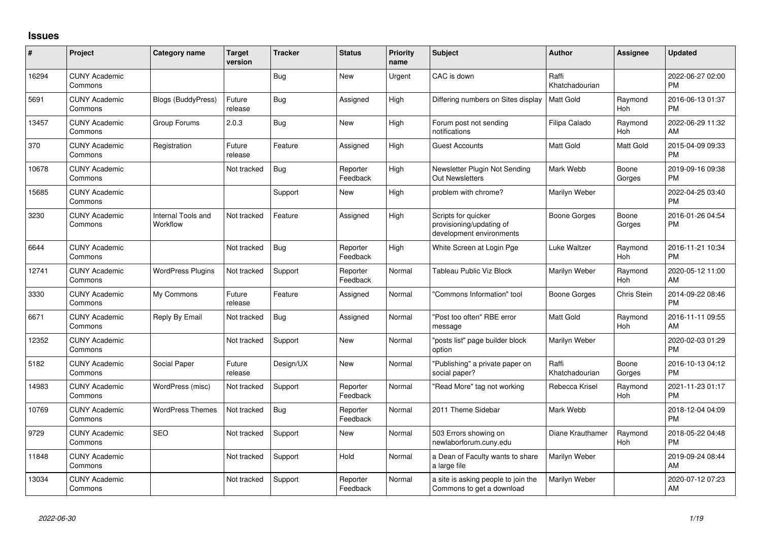## **Issues**

| #     | Project                         | <b>Category name</b>           | <b>Target</b><br>version | <b>Tracker</b> | <b>Status</b>        | <b>Priority</b><br>name | <b>Subject</b>                                                              | <b>Author</b>           | <b>Assignee</b> | <b>Updated</b>                |
|-------|---------------------------------|--------------------------------|--------------------------|----------------|----------------------|-------------------------|-----------------------------------------------------------------------------|-------------------------|-----------------|-------------------------------|
| 16294 | <b>CUNY Academic</b><br>Commons |                                |                          | <b>Bug</b>     | <b>New</b>           | Urgent                  | CAC is down                                                                 | Raffi<br>Khatchadourian |                 | 2022-06-27 02:00<br><b>PM</b> |
| 5691  | <b>CUNY Academic</b><br>Commons | <b>Blogs (BuddyPress)</b>      | Future<br>release        | <b>Bug</b>     | Assigned             | High                    | Differing numbers on Sites display                                          | Matt Gold               | Raymond<br>Hoh  | 2016-06-13 01:37<br><b>PM</b> |
| 13457 | <b>CUNY Academic</b><br>Commons | Group Forums                   | 2.0.3                    | Bug            | New                  | High                    | Forum post not sending<br>notifications                                     | Filipa Calado           | Raymond<br>Hoh  | 2022-06-29 11:32<br>AM        |
| 370   | <b>CUNY Academic</b><br>Commons | Registration                   | Future<br>release        | Feature        | Assigned             | High                    | Guest Accounts                                                              | Matt Gold               | Matt Gold       | 2015-04-09 09:33<br><b>PM</b> |
| 10678 | <b>CUNY Academic</b><br>Commons |                                | Not tracked              | Bug            | Reporter<br>Feedback | High                    | Newsletter Plugin Not Sending<br><b>Out Newsletters</b>                     | Mark Webb               | Boone<br>Gorges | 2019-09-16 09:38<br><b>PM</b> |
| 15685 | <b>CUNY Academic</b><br>Commons |                                |                          | Support        | New                  | High                    | problem with chrome?                                                        | Marilyn Weber           |                 | 2022-04-25 03:40<br><b>PM</b> |
| 3230  | <b>CUNY Academic</b><br>Commons | Internal Tools and<br>Workflow | Not tracked              | Feature        | Assigned             | High                    | Scripts for quicker<br>provisioning/updating of<br>development environments | Boone Gorges            | Boone<br>Gorges | 2016-01-26 04:54<br><b>PM</b> |
| 6644  | <b>CUNY Academic</b><br>Commons |                                | Not tracked              | Bug            | Reporter<br>Feedback | High                    | White Screen at Login Pge                                                   | Luke Waltzer            | Raymond<br>Hoh  | 2016-11-21 10:34<br><b>PM</b> |
| 12741 | <b>CUNY Academic</b><br>Commons | <b>WordPress Plugins</b>       | Not tracked              | Support        | Reporter<br>Feedback | Normal                  | Tableau Public Viz Block                                                    | Marilyn Weber           | Raymond<br>Hoh  | 2020-05-12 11:00<br>AM        |
| 3330  | <b>CUNY Academic</b><br>Commons | My Commons                     | Future<br>release        | Feature        | Assigned             | Normal                  | "Commons Information" tool                                                  | <b>Boone Gorges</b>     | Chris Stein     | 2014-09-22 08:46<br><b>PM</b> |
| 6671  | <b>CUNY Academic</b><br>Commons | Reply By Email                 | Not tracked              | Bug            | Assigned             | Normal                  | "Post too often" RBE error<br>message                                       | <b>Matt Gold</b>        | Raymond<br>Hoh  | 2016-11-11 09:55<br>AM        |
| 12352 | <b>CUNY Academic</b><br>Commons |                                | Not tracked              | Support        | <b>New</b>           | Normal                  | "posts list" page builder block<br>option                                   | Marilyn Weber           |                 | 2020-02-03 01:29<br><b>PM</b> |
| 5182  | <b>CUNY Academic</b><br>Commons | Social Paper                   | Future<br>release        | Design/UX      | New                  | Normal                  | "Publishing" a private paper on<br>social paper?                            | Raffi<br>Khatchadourian | Boone<br>Gorges | 2016-10-13 04:12<br><b>PM</b> |
| 14983 | <b>CUNY Academic</b><br>Commons | WordPress (misc)               | Not tracked              | Support        | Reporter<br>Feedback | Normal                  | "Read More" tag not working                                                 | Rebecca Krisel          | Raymond<br>Hoh  | 2021-11-23 01:17<br><b>PM</b> |
| 10769 | <b>CUNY Academic</b><br>Commons | <b>WordPress Themes</b>        | Not tracked              | <b>Bug</b>     | Reporter<br>Feedback | Normal                  | 2011 Theme Sidebar                                                          | Mark Webb               |                 | 2018-12-04 04:09<br><b>PM</b> |
| 9729  | <b>CUNY Academic</b><br>Commons | <b>SEO</b>                     | Not tracked              | Support        | <b>New</b>           | Normal                  | 503 Errors showing on<br>newlaborforum.cuny.edu                             | Diane Krauthamer        | Raymond<br>Hoh  | 2018-05-22 04:48<br><b>PM</b> |
| 11848 | <b>CUNY Academic</b><br>Commons |                                | Not tracked              | Support        | Hold                 | Normal                  | a Dean of Faculty wants to share<br>a large file                            | Marilyn Weber           |                 | 2019-09-24 08:44<br>AM        |
| 13034 | <b>CUNY Academic</b><br>Commons |                                | Not tracked              | Support        | Reporter<br>Feedback | Normal                  | a site is asking people to join the<br>Commons to get a download            | Marilyn Weber           |                 | 2020-07-12 07:23<br>AM        |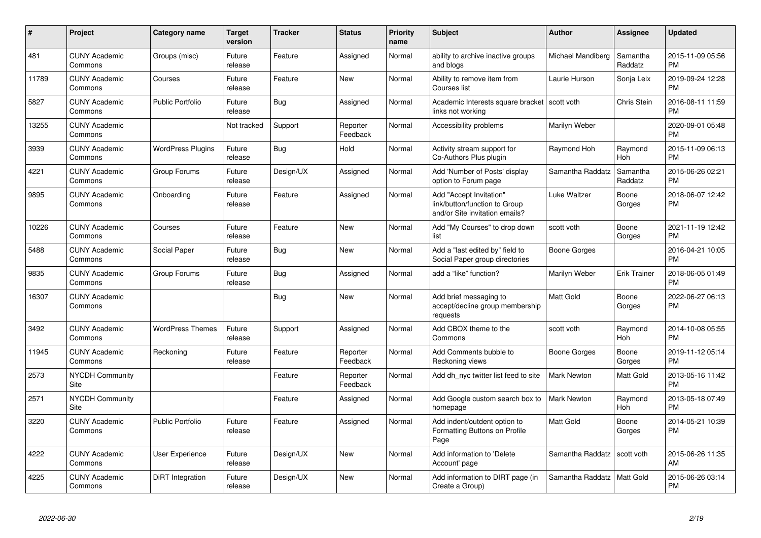| #     | Project                         | <b>Category name</b>     | <b>Target</b><br>version | <b>Tracker</b> | <b>Status</b>        | <b>Priority</b><br>name | <b>Subject</b>                                                                             | <b>Author</b>      | <b>Assignee</b>     | <b>Updated</b>                |
|-------|---------------------------------|--------------------------|--------------------------|----------------|----------------------|-------------------------|--------------------------------------------------------------------------------------------|--------------------|---------------------|-------------------------------|
| 481   | <b>CUNY Academic</b><br>Commons | Groups (misc)            | Future<br>release        | Feature        | Assigned             | Normal                  | ability to archive inactive groups<br>and blogs                                            | Michael Mandiberg  | Samantha<br>Raddatz | 2015-11-09 05:56<br><b>PM</b> |
| 11789 | <b>CUNY Academic</b><br>Commons | Courses                  | Future<br>release        | Feature        | <b>New</b>           | Normal                  | Ability to remove item from<br>Courses list                                                | Laurie Hurson      | Sonja Leix          | 2019-09-24 12:28<br><b>PM</b> |
| 5827  | <b>CUNY Academic</b><br>Commons | <b>Public Portfolio</b>  | Future<br>release        | <b>Bug</b>     | Assigned             | Normal                  | Academic Interests square bracket Scott voth<br>links not working                          |                    | <b>Chris Stein</b>  | 2016-08-11 11:59<br><b>PM</b> |
| 13255 | <b>CUNY Academic</b><br>Commons |                          | Not tracked              | Support        | Reporter<br>Feedback | Normal                  | Accessibility problems                                                                     | Marilyn Weber      |                     | 2020-09-01 05:48<br><b>PM</b> |
| 3939  | <b>CUNY Academic</b><br>Commons | <b>WordPress Plugins</b> | Future<br>release        | Bug            | Hold                 | Normal                  | Activity stream support for<br>Co-Authors Plus plugin                                      | Raymond Hoh        | Raymond<br>Hoh      | 2015-11-09 06:13<br><b>PM</b> |
| 4221  | <b>CUNY Academic</b><br>Commons | Group Forums             | Future<br>release        | Design/UX      | Assigned             | Normal                  | Add 'Number of Posts' display<br>option to Forum page                                      | Samantha Raddatz   | Samantha<br>Raddatz | 2015-06-26 02:21<br><b>PM</b> |
| 9895  | <b>CUNY Academic</b><br>Commons | Onboarding               | Future<br>release        | Feature        | Assigned             | Normal                  | Add "Accept Invitation"<br>link/button/function to Group<br>and/or Site invitation emails? | Luke Waltzer       | Boone<br>Gorges     | 2018-06-07 12:42<br><b>PM</b> |
| 10226 | <b>CUNY Academic</b><br>Commons | Courses                  | Future<br>release        | Feature        | New                  | Normal                  | Add "My Courses" to drop down<br>list                                                      | scott voth         | Boone<br>Gorges     | 2021-11-19 12:42<br><b>PM</b> |
| 5488  | <b>CUNY Academic</b><br>Commons | Social Paper             | Future<br>release        | Bug            | New                  | Normal                  | Add a "last edited by" field to<br>Social Paper group directories                          | Boone Gorges       |                     | 2016-04-21 10:05<br><b>PM</b> |
| 9835  | <b>CUNY Academic</b><br>Commons | Group Forums             | Future<br>release        | <b>Bug</b>     | Assigned             | Normal                  | add a "like" function?                                                                     | Marilyn Weber      | Erik Trainer        | 2018-06-05 01:49<br><b>PM</b> |
| 16307 | <b>CUNY Academic</b><br>Commons |                          |                          | <b>Bug</b>     | <b>New</b>           | Normal                  | Add brief messaging to<br>accept/decline group membership<br>requests                      | <b>Matt Gold</b>   | Boone<br>Gorges     | 2022-06-27 06:13<br><b>PM</b> |
| 3492  | <b>CUNY Academic</b><br>Commons | <b>WordPress Themes</b>  | Future<br>release        | Support        | Assigned             | Normal                  | Add CBOX theme to the<br>Commons                                                           | scott voth         | Raymond<br>Hoh      | 2014-10-08 05:55<br><b>PM</b> |
| 11945 | <b>CUNY Academic</b><br>Commons | Reckoning                | Future<br>release        | Feature        | Reporter<br>Feedback | Normal                  | Add Comments bubble to<br>Reckoning views                                                  | Boone Gorges       | Boone<br>Gorges     | 2019-11-12 05:14<br><b>PM</b> |
| 2573  | <b>NYCDH Community</b><br>Site  |                          |                          | Feature        | Reporter<br>Feedback | Normal                  | Add dh_nyc twitter list feed to site                                                       | <b>Mark Newton</b> | Matt Gold           | 2013-05-16 11:42<br><b>PM</b> |
| 2571  | <b>NYCDH Community</b><br>Site  |                          |                          | Feature        | Assigned             | Normal                  | Add Google custom search box to<br>homepage                                                | <b>Mark Newton</b> | Raymond<br>Hoh      | 2013-05-18 07:49<br><b>PM</b> |
| 3220  | <b>CUNY Academic</b><br>Commons | <b>Public Portfolio</b>  | Future<br>release        | Feature        | Assigned             | Normal                  | Add indent/outdent option to<br>Formatting Buttons on Profile<br>Page                      | <b>Matt Gold</b>   | Boone<br>Gorges     | 2014-05-21 10:39<br><b>PM</b> |
| 4222  | <b>CUNY Academic</b><br>Commons | <b>User Experience</b>   | Future<br>release        | Design/UX      | <b>New</b>           | Normal                  | Add information to 'Delete<br>Account' page                                                | Samantha Raddatz   | scott voth          | 2015-06-26 11:35<br>AM        |
| 4225  | <b>CUNY Academic</b><br>Commons | DiRT Integration         | Future<br>release        | Design/UX      | <b>New</b>           | Normal                  | Add information to DIRT page (in<br>Create a Group)                                        | Samantha Raddatz   | Matt Gold           | 2015-06-26 03:14<br><b>PM</b> |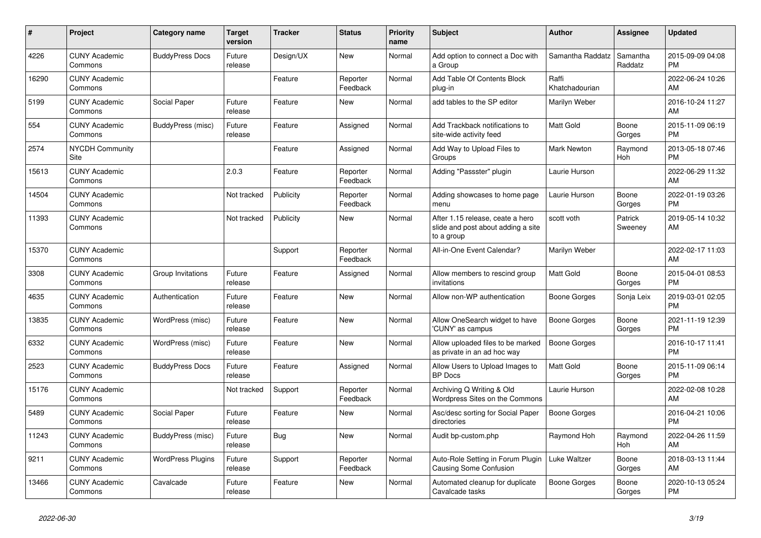| #     | <b>Project</b>                  | Category name            | Target<br>version | <b>Tracker</b> | <b>Status</b>        | <b>Priority</b><br>name | <b>Subject</b>                                                                       | <b>Author</b>           | Assignee            | <b>Updated</b>                |
|-------|---------------------------------|--------------------------|-------------------|----------------|----------------------|-------------------------|--------------------------------------------------------------------------------------|-------------------------|---------------------|-------------------------------|
| 4226  | <b>CUNY Academic</b><br>Commons | <b>BuddyPress Docs</b>   | Future<br>release | Design/UX      | New                  | Normal                  | Add option to connect a Doc with<br>a Group                                          | Samantha Raddatz        | Samantha<br>Raddatz | 2015-09-09 04:08<br><b>PM</b> |
| 16290 | <b>CUNY Academic</b><br>Commons |                          |                   | Feature        | Reporter<br>Feedback | Normal                  | Add Table Of Contents Block<br>plug-in                                               | Raffi<br>Khatchadourian |                     | 2022-06-24 10:26<br>AM.       |
| 5199  | <b>CUNY Academic</b><br>Commons | Social Paper             | Future<br>release | Feature        | New                  | Normal                  | add tables to the SP editor                                                          | Marilyn Weber           |                     | 2016-10-24 11:27<br>AM        |
| 554   | <b>CUNY Academic</b><br>Commons | BuddyPress (misc)        | Future<br>release | Feature        | Assigned             | Normal                  | Add Trackback notifications to<br>site-wide activity feed                            | Matt Gold               | Boone<br>Gorges     | 2015-11-09 06:19<br><b>PM</b> |
| 2574  | <b>NYCDH Community</b><br>Site  |                          |                   | Feature        | Assigned             | Normal                  | Add Way to Upload Files to<br>Groups                                                 | <b>Mark Newton</b>      | Raymond<br>Hoh      | 2013-05-18 07:46<br><b>PM</b> |
| 15613 | <b>CUNY Academic</b><br>Commons |                          | 2.0.3             | Feature        | Reporter<br>Feedback | Normal                  | Adding "Passster" plugin                                                             | Laurie Hurson           |                     | 2022-06-29 11:32<br>AM        |
| 14504 | <b>CUNY Academic</b><br>Commons |                          | Not tracked       | Publicity      | Reporter<br>Feedback | Normal                  | Adding showcases to home page<br>menu                                                | Laurie Hurson           | Boone<br>Gorges     | 2022-01-19 03:26<br><b>PM</b> |
| 11393 | <b>CUNY Academic</b><br>Commons |                          | Not tracked       | Publicity      | <b>New</b>           | Normal                  | After 1.15 release, ceate a hero<br>slide and post about adding a site<br>to a group | scott voth              | Patrick<br>Sweeney  | 2019-05-14 10:32<br>AM        |
| 15370 | <b>CUNY Academic</b><br>Commons |                          |                   | Support        | Reporter<br>Feedback | Normal                  | All-in-One Event Calendar?                                                           | Marilyn Weber           |                     | 2022-02-17 11:03<br><b>AM</b> |
| 3308  | <b>CUNY Academic</b><br>Commons | Group Invitations        | Future<br>release | Feature        | Assigned             | Normal                  | Allow members to rescind group<br>invitations                                        | <b>Matt Gold</b>        | Boone<br>Gorges     | 2015-04-01 08:53<br><b>PM</b> |
| 4635  | <b>CUNY Academic</b><br>Commons | Authentication           | Future<br>release | Feature        | New                  | Normal                  | Allow non-WP authentication                                                          | Boone Gorges            | Sonja Leix          | 2019-03-01 02:05<br><b>PM</b> |
| 13835 | <b>CUNY Academic</b><br>Commons | WordPress (misc)         | Future<br>release | Feature        | New                  | Normal                  | Allow OneSearch widget to have<br>'CUNY' as campus                                   | Boone Gorges            | Boone<br>Gorges     | 2021-11-19 12:39<br><b>PM</b> |
| 6332  | <b>CUNY Academic</b><br>Commons | WordPress (misc)         | Future<br>release | Feature        | <b>New</b>           | Normal                  | Allow uploaded files to be marked<br>as private in an ad hoc way                     | Boone Gorges            |                     | 2016-10-17 11:41<br><b>PM</b> |
| 2523  | <b>CUNY Academic</b><br>Commons | <b>BuddyPress Docs</b>   | Future<br>release | Feature        | Assigned             | Normal                  | Allow Users to Upload Images to<br><b>BP</b> Docs                                    | Matt Gold               | Boone<br>Gorges     | 2015-11-09 06:14<br><b>PM</b> |
| 15176 | <b>CUNY Academic</b><br>Commons |                          | Not tracked       | Support        | Reporter<br>Feedback | Normal                  | Archiving Q Writing & Old<br>Wordpress Sites on the Commons                          | Laurie Hurson           |                     | 2022-02-08 10:28<br><b>AM</b> |
| 5489  | <b>CUNY Academic</b><br>Commons | Social Paper             | Future<br>release | Feature        | <b>New</b>           | Normal                  | Asc/desc sorting for Social Paper<br>directories                                     | Boone Gorges            |                     | 2016-04-21 10:06<br><b>PM</b> |
| 11243 | <b>CUNY Academic</b><br>Commons | BuddyPress (misc)        | Future<br>release | Bug            | <b>New</b>           | Normal                  | Audit bp-custom.php                                                                  | Raymond Hoh             | Raymond<br>Hoh      | 2022-04-26 11:59<br>AM        |
| 9211  | <b>CUNY Academic</b><br>Commons | <b>WordPress Plugins</b> | Future<br>release | Support        | Reporter<br>Feedback | Normal                  | Auto-Role Setting in Forum Plugin<br>Causing Some Confusion                          | Luke Waltzer            | Boone<br>Gorges     | 2018-03-13 11:44<br>AM.       |
| 13466 | <b>CUNY Academic</b><br>Commons | Cavalcade                | Future<br>release | Feature        | <b>New</b>           | Normal                  | Automated cleanup for duplicate<br>Cavalcade tasks                                   | Boone Gorges            | Boone<br>Gorges     | 2020-10-13 05:24<br><b>PM</b> |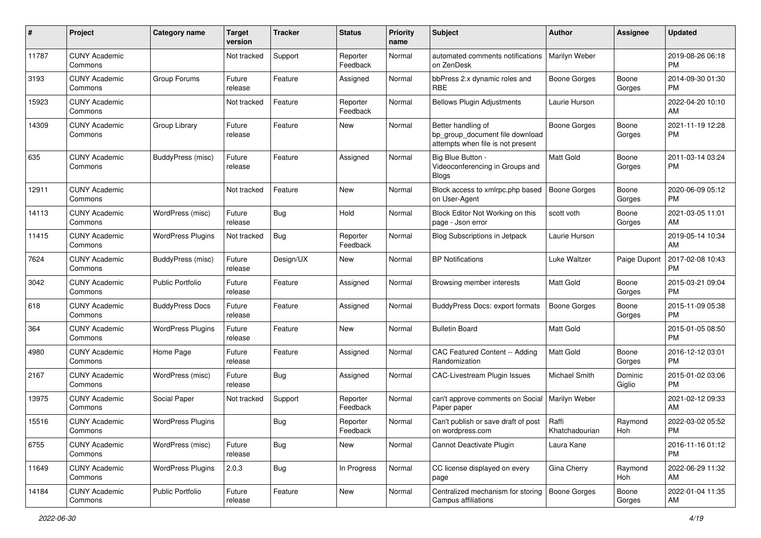| #     | Project                         | <b>Category name</b>     | <b>Target</b><br>version | Tracker    | <b>Status</b>        | Priority<br>name | Subject                                                                                    | Author                  | Assignee          | <b>Updated</b>                |
|-------|---------------------------------|--------------------------|--------------------------|------------|----------------------|------------------|--------------------------------------------------------------------------------------------|-------------------------|-------------------|-------------------------------|
| 11787 | <b>CUNY Academic</b><br>Commons |                          | Not tracked              | Support    | Reporter<br>Feedback | Normal           | automated comments notifications<br>on ZenDesk                                             | Marilyn Weber           |                   | 2019-08-26 06:18<br><b>PM</b> |
| 3193  | <b>CUNY Academic</b><br>Commons | Group Forums             | Future<br>release        | Feature    | Assigned             | Normal           | bbPress 2.x dynamic roles and<br><b>RBE</b>                                                | <b>Boone Gorges</b>     | Boone<br>Gorges   | 2014-09-30 01:30<br>PM        |
| 15923 | <b>CUNY Academic</b><br>Commons |                          | Not tracked              | Feature    | Reporter<br>Feedback | Normal           | <b>Bellows Plugin Adjustments</b>                                                          | Laurie Hurson           |                   | 2022-04-20 10:10<br>AM        |
| 14309 | <b>CUNY Academic</b><br>Commons | Group Library            | Future<br>release        | Feature    | New                  | Normal           | Better handling of<br>bp_group_document file download<br>attempts when file is not present | <b>Boone Gorges</b>     | Boone<br>Gorges   | 2021-11-19 12:28<br>PM        |
| 635   | <b>CUNY Academic</b><br>Commons | BuddyPress (misc)        | Future<br>release        | Feature    | Assigned             | Normal           | Big Blue Button -<br>Videoconferencing in Groups and<br>Blogs                              | Matt Gold               | Boone<br>Gorges   | 2011-03-14 03:24<br>PM        |
| 12911 | <b>CUNY Academic</b><br>Commons |                          | Not tracked              | Feature    | New                  | Normal           | Block access to xmlrpc.php based<br>on User-Agent                                          | <b>Boone Gorges</b>     | Boone<br>Gorges   | 2020-06-09 05:12<br><b>PM</b> |
| 14113 | <b>CUNY Academic</b><br>Commons | WordPress (misc)         | Future<br>release        | <b>Bug</b> | Hold                 | Normal           | Block Editor Not Working on this<br>page - Json error                                      | scott voth              | Boone<br>Gorges   | 2021-03-05 11:01<br>AM        |
| 11415 | <b>CUNY Academic</b><br>Commons | <b>WordPress Plugins</b> | Not tracked              | Bug        | Reporter<br>Feedback | Normal           | <b>Blog Subscriptions in Jetpack</b>                                                       | Laurie Hurson           |                   | 2019-05-14 10:34<br>AM        |
| 7624  | <b>CUNY Academic</b><br>Commons | BuddyPress (misc)        | Future<br>release        | Design/UX  | New                  | Normal           | <b>BP</b> Notifications                                                                    | Luke Waltzer            | Paige Dupont      | 2017-02-08 10:43<br><b>PM</b> |
| 3042  | <b>CUNY Academic</b><br>Commons | <b>Public Portfolio</b>  | Future<br>release        | Feature    | Assigned             | Normal           | Browsing member interests                                                                  | <b>Matt Gold</b>        | Boone<br>Gorges   | 2015-03-21 09:04<br>PM        |
| 618   | <b>CUNY Academic</b><br>Commons | <b>BuddyPress Docs</b>   | Future<br>release        | Feature    | Assigned             | Normal           | <b>BuddyPress Docs: export formats</b>                                                     | <b>Boone Gorges</b>     | Boone<br>Gorges   | 2015-11-09 05:38<br><b>PM</b> |
| 364   | <b>CUNY Academic</b><br>Commons | <b>WordPress Plugins</b> | Future<br>release        | Feature    | <b>New</b>           | Normal           | <b>Bulletin Board</b>                                                                      | <b>Matt Gold</b>        |                   | 2015-01-05 08:50<br><b>PM</b> |
| 4980  | <b>CUNY Academic</b><br>Commons | Home Page                | Future<br>release        | Feature    | Assigned             | Normal           | CAC Featured Content -- Adding<br>Randomization                                            | Matt Gold               | Boone<br>Gorges   | 2016-12-12 03:01<br><b>PM</b> |
| 2167  | <b>CUNY Academic</b><br>Commons | WordPress (misc)         | Future<br>release        | Bug        | Assigned             | Normal           | <b>CAC-Livestream Plugin Issues</b>                                                        | <b>Michael Smith</b>    | Dominic<br>Giglio | 2015-01-02 03:06<br><b>PM</b> |
| 13975 | <b>CUNY Academic</b><br>Commons | Social Paper             | Not tracked              | Support    | Reporter<br>Feedback | Normal           | can't approve comments on Social   Marilyn Weber<br>Paper paper                            |                         |                   | 2021-02-12 09:33<br>AM        |
| 15516 | <b>CUNY Academic</b><br>Commons | <b>WordPress Plugins</b> |                          | <b>Bug</b> | Reporter<br>Feedback | Normal           | Can't publish or save draft of post<br>on wordpress.com                                    | Raffi<br>Khatchadourian | Raymond<br>Hoh    | 2022-03-02 05:52<br>PM        |
| 6755  | <b>CUNY Academic</b><br>Commons | WordPress (misc)         | Future<br>release        | Bug        | New                  | Normal           | Cannot Deactivate Plugin                                                                   | Laura Kane              |                   | 2016-11-16 01:12<br><b>PM</b> |
| 11649 | <b>CUNY Academic</b><br>Commons | <b>WordPress Plugins</b> | 2.0.3                    | <b>Bug</b> | In Progress          | Normal           | CC license displayed on every<br>page                                                      | Gina Cherry             | Raymond<br>Hoh    | 2022-06-29 11:32<br>AM        |
| 14184 | <b>CUNY Academic</b><br>Commons | Public Portfolio         | Future<br>release        | Feature    | New                  | Normal           | Centralized mechanism for storing<br>Campus affiliations                                   | Boone Gorges            | Boone<br>Gorges   | 2022-01-04 11:35<br>AM        |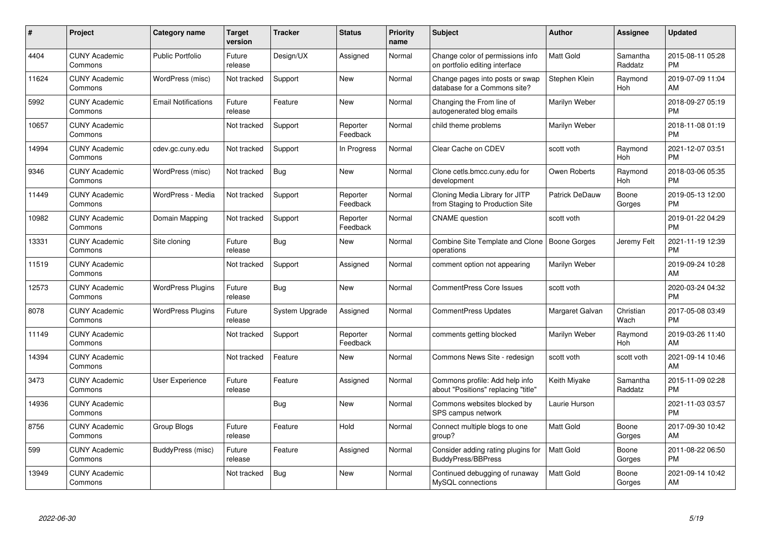| #     | <b>Project</b>                  | Category name              | <b>Target</b><br>version | <b>Tracker</b> | <b>Status</b>        | <b>Priority</b><br>name | <b>Subject</b>                                                        | <b>Author</b>         | Assignee            | <b>Updated</b>                |
|-------|---------------------------------|----------------------------|--------------------------|----------------|----------------------|-------------------------|-----------------------------------------------------------------------|-----------------------|---------------------|-------------------------------|
| 4404  | <b>CUNY Academic</b><br>Commons | <b>Public Portfolio</b>    | Future<br>release        | Design/UX      | Assigned             | Normal                  | Change color of permissions info<br>on portfolio editing interface    | <b>Matt Gold</b>      | Samantha<br>Raddatz | 2015-08-11 05:28<br><b>PM</b> |
| 11624 | <b>CUNY Academic</b><br>Commons | WordPress (misc)           | Not tracked              | Support        | New                  | Normal                  | Change pages into posts or swap<br>database for a Commons site?       | Stephen Klein         | Raymond<br>Hoh      | 2019-07-09 11:04<br>AM        |
| 5992  | <b>CUNY Academic</b><br>Commons | <b>Email Notifications</b> | Future<br>release        | Feature        | New                  | Normal                  | Changing the From line of<br>autogenerated blog emails                | Marilyn Weber         |                     | 2018-09-27 05:19<br><b>PM</b> |
| 10657 | <b>CUNY Academic</b><br>Commons |                            | Not tracked              | Support        | Reporter<br>Feedback | Normal                  | child theme problems                                                  | Marilyn Weber         |                     | 2018-11-08 01:19<br><b>PM</b> |
| 14994 | <b>CUNY Academic</b><br>Commons | cdev.gc.cuny.edu           | Not tracked              | Support        | In Progress          | Normal                  | Clear Cache on CDEV                                                   | scott voth            | Raymond<br>Hoh      | 2021-12-07 03:51<br><b>PM</b> |
| 9346  | <b>CUNY Academic</b><br>Commons | WordPress (misc)           | Not tracked              | Bug            | <b>New</b>           | Normal                  | Clone cetls.bmcc.cuny.edu for<br>development                          | Owen Roberts          | Raymond<br>Hoh      | 2018-03-06 05:35<br><b>PM</b> |
| 11449 | <b>CUNY Academic</b><br>Commons | WordPress - Media          | Not tracked              | Support        | Reporter<br>Feedback | Normal                  | Cloning Media Library for JITP<br>from Staging to Production Site     | <b>Patrick DeDauw</b> | Boone<br>Gorges     | 2019-05-13 12:00<br><b>PM</b> |
| 10982 | <b>CUNY Academic</b><br>Commons | Domain Mapping             | Not tracked              | Support        | Reporter<br>Feedback | Normal                  | <b>CNAME</b> question                                                 | scott voth            |                     | 2019-01-22 04:29<br><b>PM</b> |
| 13331 | <b>CUNY Academic</b><br>Commons | Site cloning               | Future<br>release        | Bug            | <b>New</b>           | Normal                  | Combine Site Template and Clone   Boone Gorges<br>operations          |                       | Jeremy Felt         | 2021-11-19 12:39<br><b>PM</b> |
| 11519 | <b>CUNY Academic</b><br>Commons |                            | Not tracked              | Support        | Assigned             | Normal                  | comment option not appearing                                          | Marilyn Weber         |                     | 2019-09-24 10:28<br>AM        |
| 12573 | <b>CUNY Academic</b><br>Commons | <b>WordPress Plugins</b>   | Future<br>release        | <b>Bug</b>     | <b>New</b>           | Normal                  | <b>CommentPress Core Issues</b>                                       | scott voth            |                     | 2020-03-24 04:32<br><b>PM</b> |
| 8078  | <b>CUNY Academic</b><br>Commons | <b>WordPress Plugins</b>   | Future<br>release        | System Upgrade | Assigned             | Normal                  | <b>CommentPress Updates</b>                                           | Margaret Galvan       | Christian<br>Wach   | 2017-05-08 03:49<br><b>PM</b> |
| 11149 | <b>CUNY Academic</b><br>Commons |                            | Not tracked              | Support        | Reporter<br>Feedback | Normal                  | comments getting blocked                                              | Marilyn Weber         | Raymond<br>Hoh      | 2019-03-26 11:40<br>AM        |
| 14394 | <b>CUNY Academic</b><br>Commons |                            | Not tracked              | Feature        | New                  | Normal                  | Commons News Site - redesign                                          | scott voth            | scott voth          | 2021-09-14 10:46<br>AM        |
| 3473  | <b>CUNY Academic</b><br>Commons | <b>User Experience</b>     | Future<br>release        | Feature        | Assigned             | Normal                  | Commons profile: Add help info<br>about "Positions" replacing "title" | Keith Miyake          | Samantha<br>Raddatz | 2015-11-09 02:28<br><b>PM</b> |
| 14936 | <b>CUNY Academic</b><br>Commons |                            |                          | Bug            | New                  | Normal                  | Commons websites blocked by<br>SPS campus network                     | Laurie Hurson         |                     | 2021-11-03 03:57<br><b>PM</b> |
| 8756  | <b>CUNY Academic</b><br>Commons | Group Blogs                | Future<br>release        | Feature        | Hold                 | Normal                  | Connect multiple blogs to one<br>group?                               | Matt Gold             | Boone<br>Gorges     | 2017-09-30 10:42<br>AM        |
| 599   | <b>CUNY Academic</b><br>Commons | BuddyPress (misc)          | Future<br>release        | Feature        | Assigned             | Normal                  | Consider adding rating plugins for<br><b>BuddyPress/BBPress</b>       | Matt Gold             | Boone<br>Gorges     | 2011-08-22 06:50<br><b>PM</b> |
| 13949 | <b>CUNY Academic</b><br>Commons |                            | Not tracked              | Bug            | <b>New</b>           | Normal                  | Continued debugging of runaway<br>MySQL connections                   | Matt Gold             | Boone<br>Gorges     | 2021-09-14 10:42<br>AM        |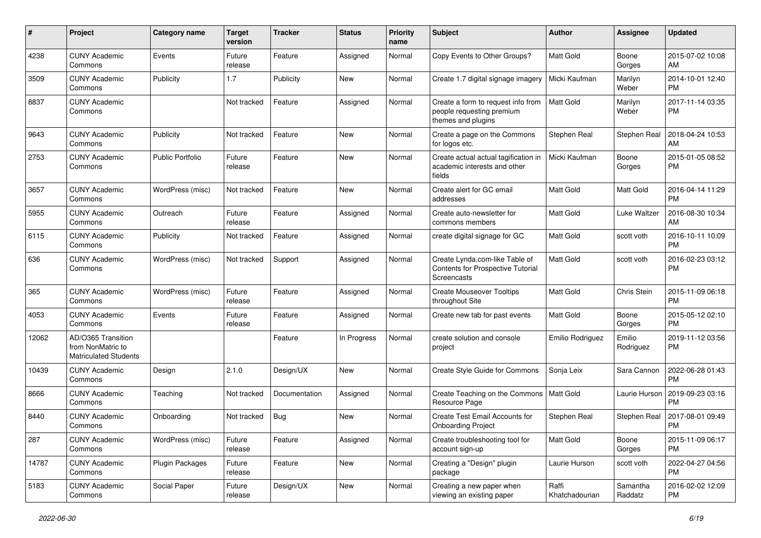| #     | Project                                                                 | <b>Category name</b>    | <b>Target</b><br>version | <b>Tracker</b> | <b>Status</b> | <b>Priority</b><br>name | <b>Subject</b>                                                                        | Author                  | <b>Assignee</b>     | <b>Updated</b>                |
|-------|-------------------------------------------------------------------------|-------------------------|--------------------------|----------------|---------------|-------------------------|---------------------------------------------------------------------------------------|-------------------------|---------------------|-------------------------------|
| 4238  | <b>CUNY Academic</b><br>Commons                                         | Events                  | Future<br>release        | Feature        | Assigned      | Normal                  | Copy Events to Other Groups?                                                          | <b>Matt Gold</b>        | Boone<br>Gorges     | 2015-07-02 10:08<br>AM        |
| 3509  | <b>CUNY Academic</b><br>Commons                                         | Publicity               | 1.7                      | Publicity      | New           | Normal                  | Create 1.7 digital signage imagery                                                    | Micki Kaufman           | Marilyn<br>Weber    | 2014-10-01 12:40<br><b>PM</b> |
| 8837  | <b>CUNY Academic</b><br>Commons                                         |                         | Not tracked              | Feature        | Assigned      | Normal                  | Create a form to request info from<br>people requesting premium<br>themes and plugins | <b>Matt Gold</b>        | Marilyn<br>Weber    | 2017-11-14 03:35<br><b>PM</b> |
| 9643  | <b>CUNY Academic</b><br>Commons                                         | Publicity               | Not tracked              | Feature        | New           | Normal                  | Create a page on the Commons<br>for logos etc.                                        | Stephen Real            | Stephen Real        | 2018-04-24 10:53<br>AM        |
| 2753  | <b>CUNY Academic</b><br>Commons                                         | <b>Public Portfolio</b> | Future<br>release        | Feature        | New           | Normal                  | Create actual actual tagification in<br>academic interests and other<br>fields        | Micki Kaufman           | Boone<br>Gorges     | 2015-01-05 08:52<br>PM        |
| 3657  | <b>CUNY Academic</b><br>Commons                                         | WordPress (misc)        | Not tracked              | Feature        | New           | Normal                  | Create alert for GC email<br>addresses                                                | Matt Gold               | Matt Gold           | 2016-04-14 11:29<br>PM        |
| 5955  | <b>CUNY Academic</b><br>Commons                                         | Outreach                | Future<br>release        | Feature        | Assigned      | Normal                  | Create auto-newsletter for<br>commons members                                         | <b>Matt Gold</b>        | <b>Luke Waltzer</b> | 2016-08-30 10:34<br>AM        |
| 6115  | <b>CUNY Academic</b><br>Commons                                         | Publicity               | Not tracked              | Feature        | Assigned      | Normal                  | create digital signage for GC                                                         | <b>Matt Gold</b>        | scott voth          | 2016-10-11 10:09<br><b>PM</b> |
| 636   | <b>CUNY Academic</b><br>Commons                                         | WordPress (misc)        | Not tracked              | Support        | Assigned      | Normal                  | Create Lynda.com-like Table of<br>Contents for Prospective Tutorial<br>Screencasts    | Matt Gold               | scott voth          | 2016-02-23 03:12<br>PM        |
| 365   | <b>CUNY Academic</b><br>Commons                                         | WordPress (misc)        | Future<br>release        | Feature        | Assigned      | Normal                  | <b>Create Mouseover Tooltips</b><br>throughout Site                                   | Matt Gold               | Chris Stein         | 2015-11-09 06:18<br><b>PM</b> |
| 4053  | <b>CUNY Academic</b><br>Commons                                         | Events                  | Future<br>release        | Feature        | Assigned      | Normal                  | Create new tab for past events                                                        | Matt Gold               | Boone<br>Gorges     | 2015-05-12 02:10<br>PM        |
| 12062 | AD/O365 Transition<br>from NonMatric to<br><b>Matriculated Students</b> |                         |                          | Feature        | In Progress   | Normal                  | create solution and console<br>project                                                | Emilio Rodriguez        | Emilio<br>Rodriguez | 2019-11-12 03:56<br>РM        |
| 10439 | <b>CUNY Academic</b><br>Commons                                         | Design                  | 2.1.0                    | Design/UX      | <b>New</b>    | Normal                  | Create Style Guide for Commons                                                        | Sonja Leix              | Sara Cannon         | 2022-06-28 01:43<br>РM        |
| 8666  | <b>CUNY Academic</b><br>Commons                                         | Teaching                | Not tracked              | Documentation  | Assigned      | Normal                  | Create Teaching on the Commons<br>Resource Page                                       | Matt Gold               | Laurie Hurson       | 2019-09-23 03:16<br>PM        |
| 8440  | <b>CUNY Academic</b><br>Commons                                         | Onboarding              | Not tracked              | Bug            | New           | Normal                  | Create Test Email Accounts for<br><b>Onboarding Project</b>                           | Stephen Real            | Stephen Real        | 2017-08-01 09:49<br>PM        |
| 287   | <b>CUNY Academic</b><br>Commons                                         | WordPress (misc)        | Future<br>release        | Feature        | Assigned      | Normal                  | Create troubleshooting tool for<br>account sign-up                                    | Matt Gold               | Boone<br>Gorges     | 2015-11-09 06:17<br>PM        |
| 14787 | <b>CUNY Academic</b><br>Commons                                         | Plugin Packages         | Future<br>release        | Feature        | New           | Normal                  | Creating a "Design" plugin<br>package                                                 | Laurie Hurson           | scott voth          | 2022-04-27 04:56<br>PM        |
| 5183  | <b>CUNY Academic</b><br>Commons                                         | Social Paper            | Future<br>release        | Design/UX      | New           | Normal                  | Creating a new paper when<br>viewing an existing paper                                | Raffi<br>Khatchadourian | Samantha<br>Raddatz | 2016-02-02 12:09<br>PM        |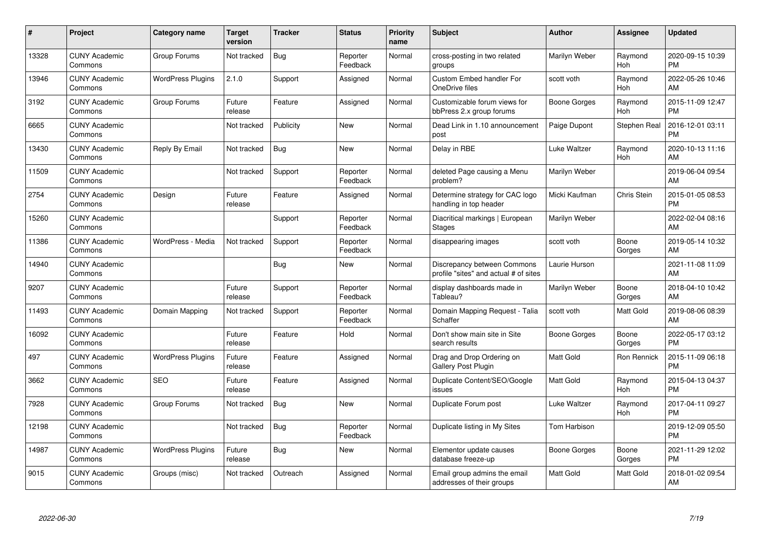| #     | Project                         | <b>Category name</b>     | <b>Target</b><br>version | <b>Tracker</b> | <b>Status</b>        | <b>Priority</b><br>name | <b>Subject</b>                                                       | <b>Author</b>    | <b>Assignee</b>    | <b>Updated</b>                |
|-------|---------------------------------|--------------------------|--------------------------|----------------|----------------------|-------------------------|----------------------------------------------------------------------|------------------|--------------------|-------------------------------|
| 13328 | <b>CUNY Academic</b><br>Commons | Group Forums             | Not tracked              | Bug            | Reporter<br>Feedback | Normal                  | cross-posting in two related<br>groups                               | Marilyn Weber    | Raymond<br>Hoh     | 2020-09-15 10:39<br><b>PM</b> |
| 13946 | <b>CUNY Academic</b><br>Commons | <b>WordPress Plugins</b> | 2.1.0                    | Support        | Assigned             | Normal                  | Custom Embed handler For<br>OneDrive files                           | scott voth       | Raymond<br>Hoh     | 2022-05-26 10:46<br>AM        |
| 3192  | <b>CUNY Academic</b><br>Commons | Group Forums             | Future<br>release        | Feature        | Assigned             | Normal                  | Customizable forum views for<br>bbPress 2.x group forums             | Boone Gorges     | Raymond<br>Hoh     | 2015-11-09 12:47<br><b>PM</b> |
| 6665  | <b>CUNY Academic</b><br>Commons |                          | Not tracked              | Publicity      | <b>New</b>           | Normal                  | Dead Link in 1.10 announcement<br>post                               | Paige Dupont     | Stephen Real       | 2016-12-01 03:11<br><b>PM</b> |
| 13430 | <b>CUNY Academic</b><br>Commons | Reply By Email           | Not tracked              | Bug            | <b>New</b>           | Normal                  | Delay in RBE                                                         | Luke Waltzer     | Raymond<br>Hoh     | 2020-10-13 11:16<br>AM        |
| 11509 | <b>CUNY Academic</b><br>Commons |                          | Not tracked              | Support        | Reporter<br>Feedback | Normal                  | deleted Page causing a Menu<br>problem?                              | Marilyn Weber    |                    | 2019-06-04 09:54<br>AM        |
| 2754  | <b>CUNY Academic</b><br>Commons | Design                   | Future<br>release        | Feature        | Assigned             | Normal                  | Determine strategy for CAC logo<br>handling in top header            | Micki Kaufman    | <b>Chris Stein</b> | 2015-01-05 08:53<br><b>PM</b> |
| 15260 | <b>CUNY Academic</b><br>Commons |                          |                          | Support        | Reporter<br>Feedback | Normal                  | Diacritical markings   European<br><b>Stages</b>                     | Marilyn Weber    |                    | 2022-02-04 08:16<br>AM        |
| 11386 | <b>CUNY Academic</b><br>Commons | WordPress - Media        | Not tracked              | Support        | Reporter<br>Feedback | Normal                  | disappearing images                                                  | scott voth       | Boone<br>Gorges    | 2019-05-14 10:32<br>AM        |
| 14940 | <b>CUNY Academic</b><br>Commons |                          |                          | Bug            | <b>New</b>           | Normal                  | Discrepancy between Commons<br>profile "sites" and actual # of sites | Laurie Hurson    |                    | 2021-11-08 11:09<br>AM        |
| 9207  | <b>CUNY Academic</b><br>Commons |                          | Future<br>release        | Support        | Reporter<br>Feedback | Normal                  | display dashboards made in<br>Tableau?                               | Marilyn Weber    | Boone<br>Gorges    | 2018-04-10 10:42<br>AM        |
| 11493 | <b>CUNY Academic</b><br>Commons | Domain Mapping           | Not tracked              | Support        | Reporter<br>Feedback | Normal                  | Domain Mapping Request - Talia<br>Schaffer                           | scott voth       | Matt Gold          | 2019-08-06 08:39<br>AM        |
| 16092 | <b>CUNY Academic</b><br>Commons |                          | Future<br>release        | Feature        | Hold                 | Normal                  | Don't show main site in Site<br>search results                       | Boone Gorges     | Boone<br>Gorges    | 2022-05-17 03:12<br><b>PM</b> |
| 497   | <b>CUNY Academic</b><br>Commons | <b>WordPress Plugins</b> | Future<br>release        | Feature        | Assigned             | Normal                  | Drag and Drop Ordering on<br>Gallery Post Plugin                     | <b>Matt Gold</b> | Ron Rennick        | 2015-11-09 06:18<br><b>PM</b> |
| 3662  | <b>CUNY Academic</b><br>Commons | <b>SEO</b>               | Future<br>release        | Feature        | Assigned             | Normal                  | Duplicate Content/SEO/Google<br>issues                               | <b>Matt Gold</b> | Raymond<br>Hoh     | 2015-04-13 04:37<br><b>PM</b> |
| 7928  | <b>CUNY Academic</b><br>Commons | Group Forums             | Not tracked              | <b>Bug</b>     | New                  | Normal                  | Duplicate Forum post                                                 | Luke Waltzer     | Raymond<br>Hoh     | 2017-04-11 09:27<br><b>PM</b> |
| 12198 | <b>CUNY Academic</b><br>Commons |                          | Not tracked              | Bug            | Reporter<br>Feedback | Normal                  | Duplicate listing in My Sites                                        | Tom Harbison     |                    | 2019-12-09 05:50<br><b>PM</b> |
| 14987 | <b>CUNY Academic</b><br>Commons | <b>WordPress Plugins</b> | Future<br>release        | Bug            | New                  | Normal                  | Elementor update causes<br>database freeze-up                        | Boone Gorges     | Boone<br>Gorges    | 2021-11-29 12:02<br><b>PM</b> |
| 9015  | <b>CUNY Academic</b><br>Commons | Groups (misc)            | Not tracked              | Outreach       | Assigned             | Normal                  | Email group admins the email<br>addresses of their groups            | Matt Gold        | Matt Gold          | 2018-01-02 09:54<br>AM        |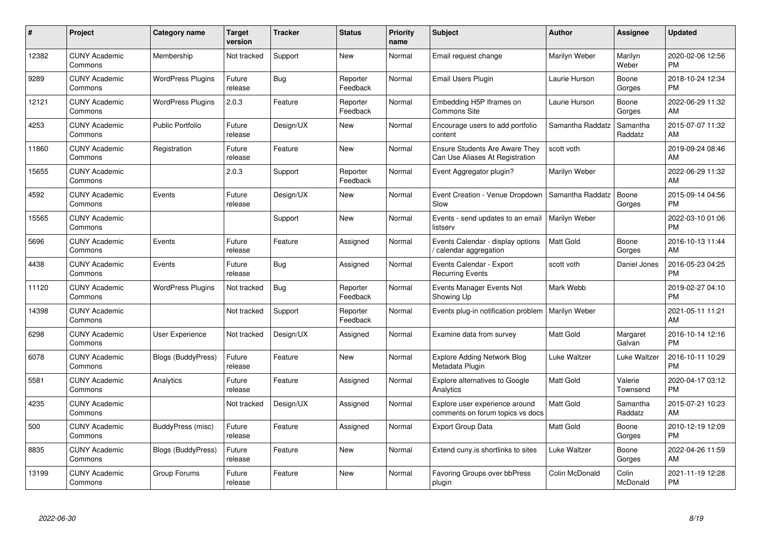| #     | Project                         | <b>Category name</b>      | <b>Target</b><br>version | <b>Tracker</b> | <b>Status</b>        | Priority<br>name | <b>Subject</b>                                                           | <b>Author</b>    | <b>Assignee</b>     | <b>Updated</b>                |
|-------|---------------------------------|---------------------------|--------------------------|----------------|----------------------|------------------|--------------------------------------------------------------------------|------------------|---------------------|-------------------------------|
| 12382 | <b>CUNY Academic</b><br>Commons | Membership                | Not tracked              | Support        | <b>New</b>           | Normal           | Email request change                                                     | Marilyn Weber    | Marilyn<br>Weber    | 2020-02-06 12:56<br><b>PM</b> |
| 9289  | <b>CUNY Academic</b><br>Commons | <b>WordPress Plugins</b>  | Future<br>release        | Bug            | Reporter<br>Feedback | Normal           | Email Users Plugin                                                       | Laurie Hurson    | Boone<br>Gorges     | 2018-10-24 12:34<br><b>PM</b> |
| 12121 | <b>CUNY Academic</b><br>Commons | <b>WordPress Plugins</b>  | 2.0.3                    | Feature        | Reporter<br>Feedback | Normal           | Embedding H5P Iframes on<br><b>Commons Site</b>                          | Laurie Hurson    | Boone<br>Gorges     | 2022-06-29 11:32<br>AM        |
| 4253  | <b>CUNY Academic</b><br>Commons | <b>Public Portfolio</b>   | Future<br>release        | Design/UX      | <b>New</b>           | Normal           | Encourage users to add portfolio<br>content                              | Samantha Raddatz | Samantha<br>Raddatz | 2015-07-07 11:32<br>AM        |
| 11860 | <b>CUNY Academic</b><br>Commons | Registration              | Future<br>release        | Feature        | New                  | Normal           | <b>Ensure Students Are Aware They</b><br>Can Use Aliases At Registration | scott voth       |                     | 2019-09-24 08:46<br>AM        |
| 15655 | <b>CUNY Academic</b><br>Commons |                           | 2.0.3                    | Support        | Reporter<br>Feedback | Normal           | Event Aggregator plugin?                                                 | Marilyn Weber    |                     | 2022-06-29 11:32<br>AM        |
| 4592  | <b>CUNY Academic</b><br>Commons | Events                    | Future<br>release        | Design/UX      | New                  | Normal           | Event Creation - Venue Dropdown<br>Slow                                  | Samantha Raddatz | Boone<br>Gorges     | 2015-09-14 04:56<br><b>PM</b> |
| 15565 | <b>CUNY Academic</b><br>Commons |                           |                          | Support        | New                  | Normal           | Events - send updates to an email<br>listserv                            | Marilyn Weber    |                     | 2022-03-10 01:06<br><b>PM</b> |
| 5696  | <b>CUNY Academic</b><br>Commons | Events                    | Future<br>release        | Feature        | Assigned             | Normal           | Events Calendar - display options<br>calendar aggregation                | <b>Matt Gold</b> | Boone<br>Gorges     | 2016-10-13 11:44<br>AM.       |
| 4438  | <b>CUNY Academic</b><br>Commons | Events                    | Future<br>release        | Bug            | Assigned             | Normal           | Events Calendar - Export<br><b>Recurring Events</b>                      | scott voth       | Daniel Jones        | 2016-05-23 04:25<br><b>PM</b> |
| 11120 | <b>CUNY Academic</b><br>Commons | <b>WordPress Plugins</b>  | Not tracked              | Bug            | Reporter<br>Feedback | Normal           | Events Manager Events Not<br>Showing Up                                  | Mark Webb        |                     | 2019-02-27 04:10<br><b>PM</b> |
| 14398 | <b>CUNY Academic</b><br>Commons |                           | Not tracked              | Support        | Reporter<br>Feedback | Normal           | Events plug-in notification problem                                      | Marilyn Weber    |                     | 2021-05-11 11:21<br>AM        |
| 6298  | <b>CUNY Academic</b><br>Commons | User Experience           | Not tracked              | Design/UX      | Assigned             | Normal           | Examine data from survey                                                 | Matt Gold        | Margaret<br>Galvan  | 2016-10-14 12:16<br><b>PM</b> |
| 6078  | <b>CUNY Academic</b><br>Commons | <b>Blogs (BuddyPress)</b> | Future<br>release        | Feature        | New                  | Normal           | <b>Explore Adding Network Blog</b><br>Metadata Plugin                    | Luke Waltzer     | Luke Waltzer        | 2016-10-11 10:29<br><b>PM</b> |
| 5581  | <b>CUNY Academic</b><br>Commons | Analytics                 | Future<br>release        | Feature        | Assigned             | Normal           | Explore alternatives to Google<br>Analytics                              | Matt Gold        | Valerie<br>Townsend | 2020-04-17 03:12<br><b>PM</b> |
| 4235  | <b>CUNY Academic</b><br>Commons |                           | Not tracked              | Design/UX      | Assigned             | Normal           | Explore user experience around<br>comments on forum topics vs docs       | Matt Gold        | Samantha<br>Raddatz | 2015-07-21 10:23<br>AM        |
| 500   | <b>CUNY Academic</b><br>Commons | BuddyPress (misc)         | Future<br>release        | Feature        | Assigned             | Normal           | Export Group Data                                                        | Matt Gold        | Boone<br>Gorges     | 2010-12-19 12:09<br><b>PM</b> |
| 8835  | <b>CUNY Academic</b><br>Commons | Blogs (BuddyPress)        | Future<br>release        | Feature        | New                  | Normal           | Extend cuny.is shortlinks to sites                                       | Luke Waltzer     | Boone<br>Gorges     | 2022-04-26 11:59<br>AM.       |
| 13199 | <b>CUNY Academic</b><br>Commons | Group Forums              | Future<br>release        | Feature        | <b>New</b>           | Normal           | Favoring Groups over bbPress<br>plugin                                   | Colin McDonald   | Colin<br>McDonald   | 2021-11-19 12:28<br>PM        |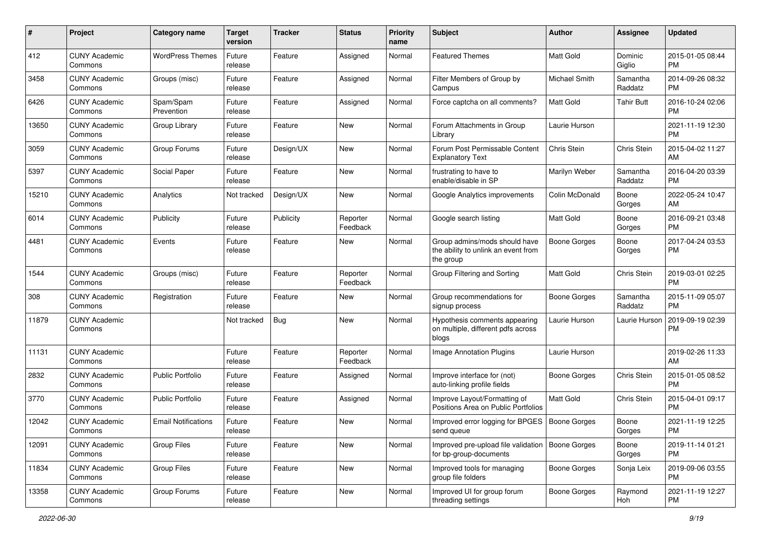| #     | Project                         | <b>Category name</b>       | <b>Target</b><br>version | <b>Tracker</b> | <b>Status</b>        | Priority<br>name | <b>Subject</b>                                                                    | Author              | <b>Assignee</b>     | <b>Updated</b>                |
|-------|---------------------------------|----------------------------|--------------------------|----------------|----------------------|------------------|-----------------------------------------------------------------------------------|---------------------|---------------------|-------------------------------|
| 412   | <b>CUNY Academic</b><br>Commons | <b>WordPress Themes</b>    | Future<br>release        | Feature        | Assigned             | Normal           | <b>Featured Themes</b>                                                            | <b>Matt Gold</b>    | Dominic<br>Giglio   | 2015-01-05 08:44<br><b>PM</b> |
| 3458  | <b>CUNY Academic</b><br>Commons | Groups (misc)              | Future<br>release        | Feature        | Assigned             | Normal           | Filter Members of Group by<br>Campus                                              | Michael Smith       | Samantha<br>Raddatz | 2014-09-26 08:32<br><b>PM</b> |
| 6426  | <b>CUNY Academic</b><br>Commons | Spam/Spam<br>Prevention    | Future<br>release        | Feature        | Assigned             | Normal           | Force captcha on all comments?                                                    | Matt Gold           | <b>Tahir Butt</b>   | 2016-10-24 02:06<br><b>PM</b> |
| 13650 | <b>CUNY Academic</b><br>Commons | Group Library              | Future<br>release        | Feature        | New                  | Normal           | Forum Attachments in Group<br>Library                                             | Laurie Hurson       |                     | 2021-11-19 12:30<br><b>PM</b> |
| 3059  | <b>CUNY Academic</b><br>Commons | Group Forums               | Future<br>release        | Design/UX      | <b>New</b>           | Normal           | Forum Post Permissable Content<br><b>Explanatory Text</b>                         | Chris Stein         | Chris Stein         | 2015-04-02 11:27<br>AM        |
| 5397  | <b>CUNY Academic</b><br>Commons | Social Paper               | Future<br>release        | Feature        | New                  | Normal           | frustrating to have to<br>enable/disable in SP                                    | Marilyn Weber       | Samantha<br>Raddatz | 2016-04-20 03:39<br><b>PM</b> |
| 15210 | <b>CUNY Academic</b><br>Commons | Analytics                  | Not tracked              | Design/UX      | New                  | Normal           | Google Analytics improvements                                                     | Colin McDonald      | Boone<br>Gorges     | 2022-05-24 10:47<br>AM        |
| 6014  | <b>CUNY Academic</b><br>Commons | Publicity                  | Future<br>release        | Publicity      | Reporter<br>Feedback | Normal           | Google search listing                                                             | <b>Matt Gold</b>    | Boone<br>Gorges     | 2016-09-21 03:48<br><b>PM</b> |
| 4481  | <b>CUNY Academic</b><br>Commons | Events                     | Future<br>release        | Feature        | New                  | Normal           | Group admins/mods should have<br>the ability to unlink an event from<br>the group | <b>Boone Gorges</b> | Boone<br>Gorges     | 2017-04-24 03:53<br><b>PM</b> |
| 1544  | <b>CUNY Academic</b><br>Commons | Groups (misc)              | Future<br>release        | Feature        | Reporter<br>Feedback | Normal           | Group Filtering and Sorting                                                       | <b>Matt Gold</b>    | Chris Stein         | 2019-03-01 02:25<br><b>PM</b> |
| 308   | <b>CUNY Academic</b><br>Commons | Registration               | Future<br>release        | Feature        | New                  | Normal           | Group recommendations for<br>signup process                                       | Boone Gorges        | Samantha<br>Raddatz | 2015-11-09 05:07<br><b>PM</b> |
| 11879 | <b>CUNY Academic</b><br>Commons |                            | Not tracked              | Bug            | <b>New</b>           | Normal           | Hypothesis comments appearing<br>on multiple, different pdfs across<br>blogs      | Laurie Hurson       | Laurie Hurson       | 2019-09-19 02:39<br><b>PM</b> |
| 11131 | <b>CUNY Academic</b><br>Commons |                            | Future<br>release        | Feature        | Reporter<br>Feedback | Normal           | Image Annotation Plugins                                                          | Laurie Hurson       |                     | 2019-02-26 11:33<br>AM        |
| 2832  | <b>CUNY Academic</b><br>Commons | <b>Public Portfolio</b>    | Future<br>release        | Feature        | Assigned             | Normal           | Improve interface for (not)<br>auto-linking profile fields                        | Boone Gorges        | Chris Stein         | 2015-01-05 08:52<br><b>PM</b> |
| 3770  | <b>CUNY Academic</b><br>Commons | <b>Public Portfolio</b>    | Future<br>release        | Feature        | Assigned             | Normal           | Improve Layout/Formatting of<br>Positions Area on Public Portfolios               | <b>Matt Gold</b>    | Chris Stein         | 2015-04-01 09:17<br><b>PM</b> |
| 12042 | <b>CUNY Academic</b><br>Commons | <b>Email Notifications</b> | Future<br>release        | Feature        | New                  | Normal           | Improved error logging for BPGES<br>send queue                                    | Boone Gorges        | Boone<br>Gorges     | 2021-11-19 12:25<br>PM        |
| 12091 | <b>CUNY Academic</b><br>Commons | Group Files                | Future<br>release        | Feature        | New                  | Normal           | Improved pre-upload file validation   Boone Gorges<br>for bp-group-documents      |                     | Boone<br>Gorges     | 2019-11-14 01:21<br><b>PM</b> |
| 11834 | <b>CUNY Academic</b><br>Commons | <b>Group Files</b>         | Future<br>release        | Feature        | New                  | Normal           | Improved tools for managing<br>group file folders                                 | Boone Gorges        | Sonja Leix          | 2019-09-06 03:55<br><b>PM</b> |
| 13358 | <b>CUNY Academic</b><br>Commons | Group Forums               | Future<br>release        | Feature        | New                  | Normal           | Improved UI for group forum<br>threading settings                                 | <b>Boone Gorges</b> | Raymond<br>Hoh      | 2021-11-19 12:27<br><b>PM</b> |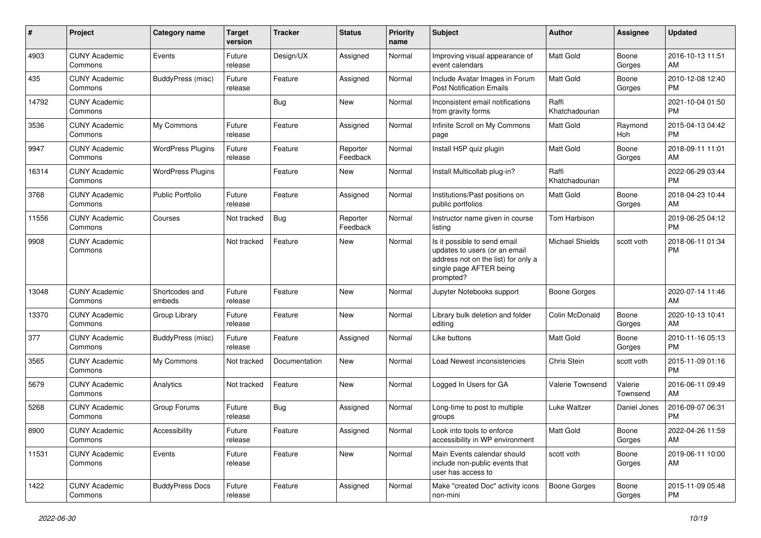| #     | Project                         | <b>Category name</b>     | <b>Target</b><br>version | <b>Tracker</b> | <b>Status</b>        | Priority<br>name | <b>Subject</b>                                                                                                                               | Author                  | <b>Assignee</b>     | <b>Updated</b>                |
|-------|---------------------------------|--------------------------|--------------------------|----------------|----------------------|------------------|----------------------------------------------------------------------------------------------------------------------------------------------|-------------------------|---------------------|-------------------------------|
| 4903  | <b>CUNY Academic</b><br>Commons | Events                   | Future<br>release        | Design/UX      | Assigned             | Normal           | Improving visual appearance of<br>event calendars                                                                                            | <b>Matt Gold</b>        | Boone<br>Gorges     | 2016-10-13 11:51<br>AM        |
| 435   | <b>CUNY Academic</b><br>Commons | BuddyPress (misc)        | Future<br>release        | Feature        | Assigned             | Normal           | Include Avatar Images in Forum<br><b>Post Notification Emails</b>                                                                            | <b>Matt Gold</b>        | Boone<br>Gorges     | 2010-12-08 12:40<br><b>PM</b> |
| 14792 | <b>CUNY Academic</b><br>Commons |                          |                          | <b>Bug</b>     | New                  | Normal           | Inconsistent email notifications<br>from gravity forms                                                                                       | Raffi<br>Khatchadourian |                     | 2021-10-04 01:50<br><b>PM</b> |
| 3536  | <b>CUNY Academic</b><br>Commons | My Commons               | Future<br>release        | Feature        | Assigned             | Normal           | Infinite Scroll on My Commons<br>page                                                                                                        | <b>Matt Gold</b>        | Raymond<br>Hoh      | 2015-04-13 04:42<br><b>PM</b> |
| 9947  | <b>CUNY Academic</b><br>Commons | <b>WordPress Plugins</b> | Future<br>release        | Feature        | Reporter<br>Feedback | Normal           | Install H5P quiz plugin                                                                                                                      | <b>Matt Gold</b>        | Boone<br>Gorges     | 2018-09-11 11:01<br>AM        |
| 16314 | <b>CUNY Academic</b><br>Commons | <b>WordPress Plugins</b> |                          | Feature        | New                  | Normal           | Install Multicollab plug-in?                                                                                                                 | Raffi<br>Khatchadourian |                     | 2022-06-29 03:44<br><b>PM</b> |
| 3768  | <b>CUNY Academic</b><br>Commons | <b>Public Portfolio</b>  | Future<br>release        | Feature        | Assigned             | Normal           | Institutions/Past positions on<br>public portfolios                                                                                          | <b>Matt Gold</b>        | Boone<br>Gorges     | 2018-04-23 10:44<br>AM        |
| 11556 | <b>CUNY Academic</b><br>Commons | Courses                  | Not tracked              | Bug            | Reporter<br>Feedback | Normal           | Instructor name given in course<br>listing                                                                                                   | Tom Harbison            |                     | 2019-06-25 04:12<br><b>PM</b> |
| 9908  | <b>CUNY Academic</b><br>Commons |                          | Not tracked              | Feature        | New                  | Normal           | Is it possible to send email<br>updates to users (or an email<br>address not on the list) for only a<br>single page AFTER being<br>prompted? | <b>Michael Shields</b>  | scott voth          | 2018-06-11 01:34<br><b>PM</b> |
| 13048 | <b>CUNY Academic</b><br>Commons | Shortcodes and<br>embeds | Future<br>release        | Feature        | New                  | Normal           | Jupyter Notebooks support                                                                                                                    | <b>Boone Gorges</b>     |                     | 2020-07-14 11:46<br>AM        |
| 13370 | <b>CUNY Academic</b><br>Commons | Group Library            | Future<br>release        | Feature        | New                  | Normal           | Library bulk deletion and folder<br>editing                                                                                                  | Colin McDonald          | Boone<br>Gorges     | 2020-10-13 10:41<br>AM        |
| 377   | <b>CUNY Academic</b><br>Commons | BuddyPress (misc)        | Future<br>release        | Feature        | Assigned             | Normal           | Like buttons                                                                                                                                 | <b>Matt Gold</b>        | Boone<br>Gorges     | 2010-11-16 05:13<br>PM.       |
| 3565  | <b>CUNY Academic</b><br>Commons | My Commons               | Not tracked              | Documentation  | New                  | Normal           | Load Newest inconsistencies                                                                                                                  | Chris Stein             | scott voth          | 2015-11-09 01:16<br><b>PM</b> |
| 5679  | <b>CUNY Academic</b><br>Commons | Analytics                | Not tracked              | Feature        | <b>New</b>           | Normal           | Logged In Users for GA                                                                                                                       | Valerie Townsend        | Valerie<br>Townsend | 2016-06-11 09:49<br>AM        |
| 5268  | <b>CUNY Academic</b><br>Commons | Group Forums             | Future<br>release        | Bug            | Assigned             | Normal           | Long-time to post to multiple<br>groups                                                                                                      | Luke Waltzer            | Daniel Jones        | 2016-09-07 06:31<br><b>PM</b> |
| 8900  | <b>CUNY Academic</b><br>Commons | Accessibility            | Future<br>release        | Feature        | Assigned             | Normal           | Look into tools to enforce<br>accessibility in WP environment                                                                                | Matt Gold               | Boone<br>Gorges     | 2022-04-26 11:59<br>AM        |
| 11531 | <b>CUNY Academic</b><br>Commons | Events                   | Future<br>release        | Feature        | New                  | Normal           | Main Events calendar should<br>include non-public events that<br>user has access to                                                          | scott voth              | Boone<br>Gorges     | 2019-06-11 10:00<br>AM        |
| 1422  | <b>CUNY Academic</b><br>Commons | <b>BuddyPress Docs</b>   | Future<br>release        | Feature        | Assigned             | Normal           | Make "created Doc" activity icons<br>non-mini                                                                                                | <b>Boone Gorges</b>     | Boone<br>Gorges     | 2015-11-09 05:48<br><b>PM</b> |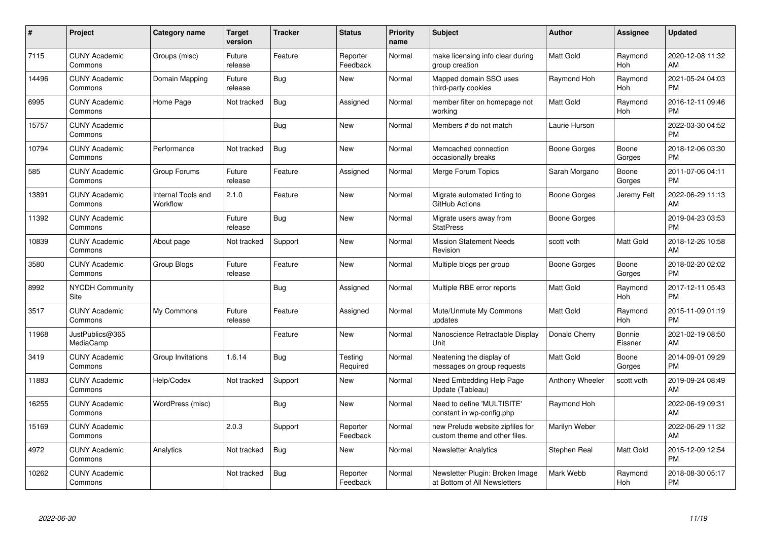| #     | Project                         | <b>Category name</b>           | <b>Target</b><br>version | <b>Tracker</b> | <b>Status</b>        | <b>Priority</b><br>name | <b>Subject</b>                                                    | <b>Author</b>    | <b>Assignee</b>   | <b>Updated</b>                |
|-------|---------------------------------|--------------------------------|--------------------------|----------------|----------------------|-------------------------|-------------------------------------------------------------------|------------------|-------------------|-------------------------------|
| 7115  | <b>CUNY Academic</b><br>Commons | Groups (misc)                  | Future<br>release        | Feature        | Reporter<br>Feedback | Normal                  | make licensing info clear during<br>group creation                | <b>Matt Gold</b> | Raymond<br>Hoh    | 2020-12-08 11:32<br>AM        |
| 14496 | <b>CUNY Academic</b><br>Commons | Domain Mapping                 | Future<br>release        | Bug            | New                  | Normal                  | Mapped domain SSO uses<br>third-party cookies                     | Raymond Hoh      | Raymond<br>Hoh    | 2021-05-24 04:03<br><b>PM</b> |
| 6995  | <b>CUNY Academic</b><br>Commons | Home Page                      | Not tracked              | Bug            | Assigned             | Normal                  | member filter on homepage not<br>working                          | <b>Matt Gold</b> | Raymond<br>Hoh    | 2016-12-11 09:46<br><b>PM</b> |
| 15757 | <b>CUNY Academic</b><br>Commons |                                |                          | Bug            | <b>New</b>           | Normal                  | Members # do not match                                            | Laurie Hurson    |                   | 2022-03-30 04:52<br><b>PM</b> |
| 10794 | <b>CUNY Academic</b><br>Commons | Performance                    | Not tracked              | <b>Bug</b>     | <b>New</b>           | Normal                  | Memcached connection<br>occasionally breaks                       | Boone Gorges     | Boone<br>Gorges   | 2018-12-06 03:30<br><b>PM</b> |
| 585   | <b>CUNY Academic</b><br>Commons | Group Forums                   | Future<br>release        | Feature        | Assigned             | Normal                  | Merge Forum Topics                                                | Sarah Morgano    | Boone<br>Gorges   | 2011-07-06 04:11<br><b>PM</b> |
| 13891 | <b>CUNY Academic</b><br>Commons | Internal Tools and<br>Workflow | 2.1.0                    | Feature        | <b>New</b>           | Normal                  | Migrate automated linting to<br>GitHub Actions                    | Boone Gorges     | Jeremy Felt       | 2022-06-29 11:13<br>AM        |
| 11392 | <b>CUNY Academic</b><br>Commons |                                | Future<br>release        | <b>Bug</b>     | <b>New</b>           | Normal                  | Migrate users away from<br><b>StatPress</b>                       | Boone Gorges     |                   | 2019-04-23 03:53<br><b>PM</b> |
| 10839 | <b>CUNY Academic</b><br>Commons | About page                     | Not tracked              | Support        | <b>New</b>           | Normal                  | <b>Mission Statement Needs</b><br>Revision                        | scott voth       | Matt Gold         | 2018-12-26 10:58<br>AM        |
| 3580  | <b>CUNY Academic</b><br>Commons | Group Blogs                    | Future<br>release        | Feature        | <b>New</b>           | Normal                  | Multiple blogs per group                                          | Boone Gorges     | Boone<br>Gorges   | 2018-02-20 02:02<br><b>PM</b> |
| 8992  | <b>NYCDH Community</b><br>Site  |                                |                          | <b>Bug</b>     | Assigned             | Normal                  | Multiple RBE error reports                                        | <b>Matt Gold</b> | Raymond<br>Hoh    | 2017-12-11 05:43<br><b>PM</b> |
| 3517  | <b>CUNY Academic</b><br>Commons | My Commons                     | Future<br>release        | Feature        | Assigned             | Normal                  | Mute/Unmute My Commons<br>updates                                 | <b>Matt Gold</b> | Raymond<br>Hoh    | 2015-11-09 01:19<br><b>PM</b> |
| 11968 | JustPublics@365<br>MediaCamp    |                                |                          | Feature        | New                  | Normal                  | Nanoscience Retractable Display<br>Unit                           | Donald Cherry    | Bonnie<br>Eissner | 2021-02-19 08:50<br>AM        |
| 3419  | <b>CUNY Academic</b><br>Commons | Group Invitations              | 1.6.14                   | <b>Bug</b>     | Testing<br>Required  | Normal                  | Neatening the display of<br>messages on group requests            | <b>Matt Gold</b> | Boone<br>Gorges   | 2014-09-01 09:29<br><b>PM</b> |
| 11883 | <b>CUNY Academic</b><br>Commons | Help/Codex                     | Not tracked              | Support        | New                  | Normal                  | Need Embedding Help Page<br>Update (Tableau)                      | Anthony Wheeler  | scott voth        | 2019-09-24 08:49<br>AM        |
| 16255 | <b>CUNY Academic</b><br>Commons | WordPress (misc)               |                          | Bug            | New                  | Normal                  | Need to define 'MULTISITE'<br>constant in wp-config.php           | Raymond Hoh      |                   | 2022-06-19 09:31<br>AM        |
| 15169 | <b>CUNY Academic</b><br>Commons |                                | 2.0.3                    | Support        | Reporter<br>Feedback | Normal                  | new Prelude website zipfiles for<br>custom theme and other files. | Marilyn Weber    |                   | 2022-06-29 11:32<br>AM        |
| 4972  | <b>CUNY Academic</b><br>Commons | Analytics                      | Not tracked              | <b>Bug</b>     | New                  | Normal                  | <b>Newsletter Analytics</b>                                       | Stephen Real     | Matt Gold         | 2015-12-09 12:54<br><b>PM</b> |
| 10262 | <b>CUNY Academic</b><br>Commons |                                | Not tracked              | <b>Bug</b>     | Reporter<br>Feedback | Normal                  | Newsletter Plugin: Broken Image<br>at Bottom of All Newsletters   | Mark Webb        | Raymond<br>Hoh    | 2018-08-30 05:17<br><b>PM</b> |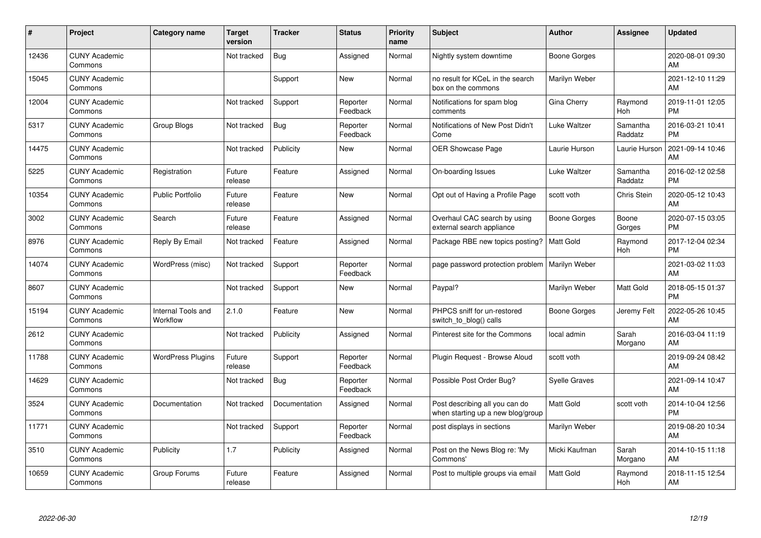| #     | Project                         | <b>Category name</b>           | <b>Target</b><br>version | <b>Tracker</b> | <b>Status</b>        | <b>Priority</b><br>name | <b>Subject</b>                                                      | <b>Author</b>       | <b>Assignee</b>     | <b>Updated</b>                |
|-------|---------------------------------|--------------------------------|--------------------------|----------------|----------------------|-------------------------|---------------------------------------------------------------------|---------------------|---------------------|-------------------------------|
| 12436 | <b>CUNY Academic</b><br>Commons |                                | Not tracked              | Bug            | Assigned             | Normal                  | Nightly system downtime                                             | <b>Boone Gorges</b> |                     | 2020-08-01 09:30<br>AM        |
| 15045 | <b>CUNY Academic</b><br>Commons |                                |                          | Support        | <b>New</b>           | Normal                  | no result for KCeL in the search<br>box on the commons              | Marilyn Weber       |                     | 2021-12-10 11:29<br>AM        |
| 12004 | <b>CUNY Academic</b><br>Commons |                                | Not tracked              | Support        | Reporter<br>Feedback | Normal                  | Notifications for spam blog<br>comments                             | Gina Cherry         | Raymond<br>Hoh      | 2019-11-01 12:05<br><b>PM</b> |
| 5317  | <b>CUNY Academic</b><br>Commons | Group Blogs                    | Not tracked              | Bug            | Reporter<br>Feedback | Normal                  | Notifications of New Post Didn't<br>Come                            | Luke Waltzer        | Samantha<br>Raddatz | 2016-03-21 10:41<br><b>PM</b> |
| 14475 | <b>CUNY Academic</b><br>Commons |                                | Not tracked              | Publicity      | <b>New</b>           | Normal                  | <b>OER Showcase Page</b>                                            | Laurie Hurson       | Laurie Hurson       | 2021-09-14 10:46<br>AM        |
| 5225  | <b>CUNY Academic</b><br>Commons | Registration                   | Future<br>release        | Feature        | Assigned             | Normal                  | On-boarding Issues                                                  | Luke Waltzer        | Samantha<br>Raddatz | 2016-02-12 02:58<br><b>PM</b> |
| 10354 | <b>CUNY Academic</b><br>Commons | <b>Public Portfolio</b>        | Future<br>release        | Feature        | New                  | Normal                  | Opt out of Having a Profile Page                                    | scott voth          | Chris Stein         | 2020-05-12 10:43<br>AM        |
| 3002  | <b>CUNY Academic</b><br>Commons | Search                         | Future<br>release        | Feature        | Assigned             | Normal                  | Overhaul CAC search by using<br>external search appliance           | <b>Boone Gorges</b> | Boone<br>Gorges     | 2020-07-15 03:05<br><b>PM</b> |
| 8976  | <b>CUNY Academic</b><br>Commons | Reply By Email                 | Not tracked              | Feature        | Assigned             | Normal                  | Package RBE new topics posting?                                     | Matt Gold           | Raymond<br>Hoh      | 2017-12-04 02:34<br><b>PM</b> |
| 14074 | <b>CUNY Academic</b><br>Commons | WordPress (misc)               | Not tracked              | Support        | Reporter<br>Feedback | Normal                  | page password protection problem                                    | Marilyn Weber       |                     | 2021-03-02 11:03<br>AM        |
| 8607  | <b>CUNY Academic</b><br>Commons |                                | Not tracked              | Support        | New                  | Normal                  | Paypal?                                                             | Marilyn Weber       | Matt Gold           | 2018-05-15 01:37<br><b>PM</b> |
| 15194 | <b>CUNY Academic</b><br>Commons | Internal Tools and<br>Workflow | 2.1.0                    | Feature        | New                  | Normal                  | PHPCS sniff for un-restored<br>switch_to_blog() calls               | Boone Gorges        | Jeremy Felt         | 2022-05-26 10:45<br>AM        |
| 2612  | <b>CUNY Academic</b><br>Commons |                                | Not tracked              | Publicity      | Assigned             | Normal                  | Pinterest site for the Commons                                      | local admin         | Sarah<br>Morgano    | 2016-03-04 11:19<br>AM        |
| 11788 | <b>CUNY Academic</b><br>Commons | <b>WordPress Plugins</b>       | Future<br>release        | Support        | Reporter<br>Feedback | Normal                  | Plugin Request - Browse Aloud                                       | scott voth          |                     | 2019-09-24 08:42<br>AM        |
| 14629 | <b>CUNY Academic</b><br>Commons |                                | Not tracked              | Bug            | Reporter<br>Feedback | Normal                  | Possible Post Order Bug?                                            | Syelle Graves       |                     | 2021-09-14 10:47<br>AM        |
| 3524  | <b>CUNY Academic</b><br>Commons | Documentation                  | Not tracked              | Documentation  | Assigned             | Normal                  | Post describing all you can do<br>when starting up a new blog/group | <b>Matt Gold</b>    | scott voth          | 2014-10-04 12:56<br><b>PM</b> |
| 11771 | <b>CUNY Academic</b><br>Commons |                                | Not tracked              | Support        | Reporter<br>Feedback | Normal                  | post displays in sections                                           | Marilyn Weber       |                     | 2019-08-20 10:34<br>AM        |
| 3510  | <b>CUNY Academic</b><br>Commons | Publicity                      | 1.7                      | Publicity      | Assigned             | Normal                  | Post on the News Blog re: 'My<br>Commons'                           | Micki Kaufman       | Sarah<br>Morgano    | 2014-10-15 11:18<br>AM        |
| 10659 | <b>CUNY Academic</b><br>Commons | Group Forums                   | Future<br>release        | Feature        | Assigned             | Normal                  | Post to multiple groups via email                                   | <b>Matt Gold</b>    | Raymond<br>Hoh      | 2018-11-15 12:54<br>AM        |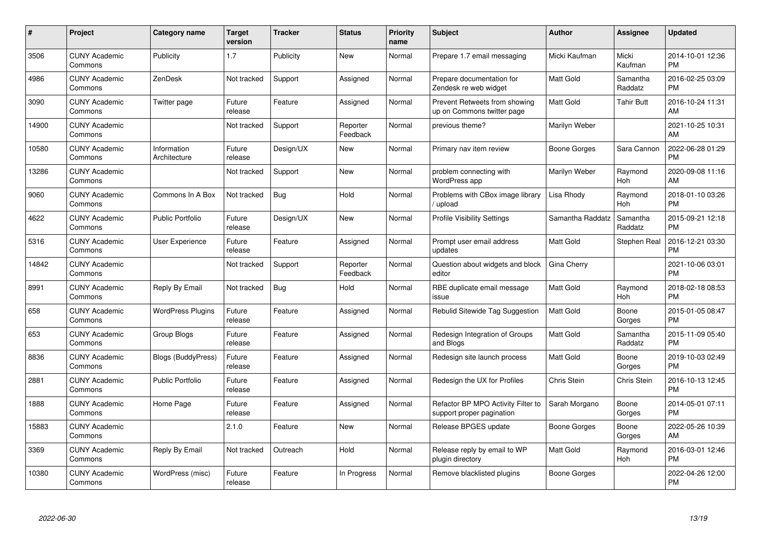| $\#$  | Project                         | <b>Category name</b>        | <b>Target</b><br>version | <b>Tracker</b> | <b>Status</b>        | Priority<br>name | <b>Subject</b>                                                  | <b>Author</b>    | <b>Assignee</b>     | <b>Updated</b>                |
|-------|---------------------------------|-----------------------------|--------------------------|----------------|----------------------|------------------|-----------------------------------------------------------------|------------------|---------------------|-------------------------------|
| 3506  | <b>CUNY Academic</b><br>Commons | Publicity                   | 1.7                      | Publicity      | <b>New</b>           | Normal           | Prepare 1.7 email messaging                                     | Micki Kaufman    | Micki<br>Kaufman    | 2014-10-01 12:36<br><b>PM</b> |
| 4986  | <b>CUNY Academic</b><br>Commons | ZenDesk                     | Not tracked              | Support        | Assigned             | Normal           | Prepare documentation for<br>Zendesk re web widget              | <b>Matt Gold</b> | Samantha<br>Raddatz | 2016-02-25 03:09<br><b>PM</b> |
| 3090  | <b>CUNY Academic</b><br>Commons | Twitter page                | Future<br>release        | Feature        | Assigned             | Normal           | Prevent Retweets from showing<br>up on Commons twitter page     | <b>Matt Gold</b> | <b>Tahir Butt</b>   | 2016-10-24 11:31<br>AM        |
| 14900 | <b>CUNY Academic</b><br>Commons |                             | Not tracked              | Support        | Reporter<br>Feedback | Normal           | previous theme?                                                 | Marilyn Weber    |                     | 2021-10-25 10:31<br>AM        |
| 10580 | <b>CUNY Academic</b><br>Commons | Information<br>Architecture | Future<br>release        | Design/UX      | <b>New</b>           | Normal           | Primary nav item review                                         | Boone Gorges     | Sara Cannon         | 2022-06-28 01:29<br><b>PM</b> |
| 13286 | <b>CUNY Academic</b><br>Commons |                             | Not tracked              | Support        | <b>New</b>           | Normal           | problem connecting with<br><b>WordPress app</b>                 | Marilyn Weber    | Raymond<br>Hoh      | 2020-09-08 11:16<br>AM        |
| 9060  | <b>CUNY Academic</b><br>Commons | Commons In A Box            | Not tracked              | Bug            | Hold                 | Normal           | Problems with CBox image library<br>/ upload                    | Lisa Rhody       | Raymond<br>Hoh      | 2018-01-10 03:26<br><b>PM</b> |
| 4622  | <b>CUNY Academic</b><br>Commons | <b>Public Portfolio</b>     | Future<br>release        | Design/UX      | <b>New</b>           | Normal           | <b>Profile Visibility Settings</b>                              | Samantha Raddatz | Samantha<br>Raddatz | 2015-09-21 12:18<br><b>PM</b> |
| 5316  | <b>CUNY Academic</b><br>Commons | User Experience             | Future<br>release        | Feature        | Assigned             | Normal           | Prompt user email address<br>updates                            | Matt Gold        | Stephen Real        | 2016-12-21 03:30<br><b>PM</b> |
| 14842 | <b>CUNY Academic</b><br>Commons |                             | Not tracked              | Support        | Reporter<br>Feedback | Normal           | Question about widgets and block<br>editor                      | Gina Cherry      |                     | 2021-10-06 03:01<br><b>PM</b> |
| 8991  | <b>CUNY Academic</b><br>Commons | Reply By Email              | Not tracked              | Bug            | Hold                 | Normal           | RBE duplicate email message<br>issue                            | Matt Gold        | Raymond<br>Hoh      | 2018-02-18 08:53<br><b>PM</b> |
| 658   | <b>CUNY Academic</b><br>Commons | <b>WordPress Plugins</b>    | Future<br>release        | Feature        | Assigned             | Normal           | Rebulid Sitewide Tag Suggestion                                 | <b>Matt Gold</b> | Boone<br>Gorges     | 2015-01-05 08:47<br><b>PM</b> |
| 653   | <b>CUNY Academic</b><br>Commons | Group Blogs                 | Future<br>release        | Feature        | Assigned             | Normal           | Redesign Integration of Groups<br>and Blogs                     | Matt Gold        | Samantha<br>Raddatz | 2015-11-09 05:40<br><b>PM</b> |
| 8836  | <b>CUNY Academic</b><br>Commons | <b>Blogs (BuddyPress)</b>   | Future<br>release        | Feature        | Assigned             | Normal           | Redesign site launch process                                    | Matt Gold        | Boone<br>Gorges     | 2019-10-03 02:49<br><b>PM</b> |
| 2881  | <b>CUNY Academic</b><br>Commons | <b>Public Portfolio</b>     | Future<br>release        | Feature        | Assigned             | Normal           | Redesign the UX for Profiles                                    | Chris Stein      | <b>Chris Stein</b>  | 2016-10-13 12:45<br><b>PM</b> |
| 1888  | <b>CUNY Academic</b><br>Commons | Home Page                   | Future<br>release        | Feature        | Assigned             | Normal           | Refactor BP MPO Activity Filter to<br>support proper pagination | Sarah Morgano    | Boone<br>Gorges     | 2014-05-01 07:11<br><b>PM</b> |
| 15883 | <b>CUNY Academic</b><br>Commons |                             | 2.1.0                    | Feature        | New                  | Normal           | Release BPGES update                                            | Boone Gorges     | Boone<br>Gorges     | 2022-05-26 10:39<br>AM        |
| 3369  | <b>CUNY Academic</b><br>Commons | Reply By Email              | Not tracked              | Outreach       | Hold                 | Normal           | Release reply by email to WP<br>plugin directory                | <b>Matt Gold</b> | Raymond<br>Hoh      | 2016-03-01 12:46<br><b>PM</b> |
| 10380 | CUNY Academic<br>Commons        | WordPress (misc)            | Future<br>release        | Feature        | In Progress          | Normal           | Remove blacklisted plugins                                      | Boone Gorges     |                     | 2022-04-26 12:00<br><b>PM</b> |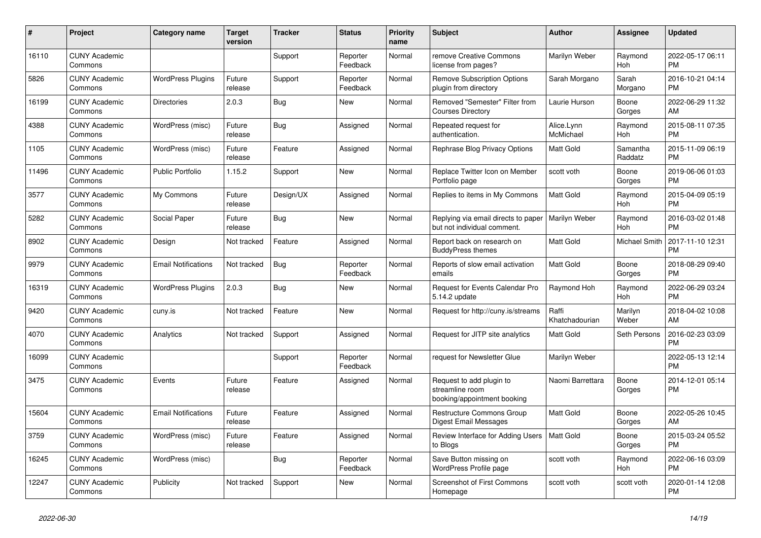| #     | Project                         | <b>Category name</b>       | <b>Target</b><br>version | <b>Tracker</b> | <b>Status</b>        | <b>Priority</b><br>name | <b>Subject</b>                                                             | <b>Author</b>           | <b>Assignee</b>     | <b>Updated</b>                |
|-------|---------------------------------|----------------------------|--------------------------|----------------|----------------------|-------------------------|----------------------------------------------------------------------------|-------------------------|---------------------|-------------------------------|
| 16110 | <b>CUNY Academic</b><br>Commons |                            |                          | Support        | Reporter<br>Feedback | Normal                  | remove Creative Commons<br>license from pages?                             | Marilyn Weber           | Raymond<br>Hoh      | 2022-05-17 06:11<br><b>PM</b> |
| 5826  | <b>CUNY Academic</b><br>Commons | <b>WordPress Plugins</b>   | Future<br>release        | Support        | Reporter<br>Feedback | Normal                  | <b>Remove Subscription Options</b><br>plugin from directory                | Sarah Morgano           | Sarah<br>Morgano    | 2016-10-21 04:14<br><b>PM</b> |
| 16199 | <b>CUNY Academic</b><br>Commons | <b>Directories</b>         | 2.0.3                    | <b>Bug</b>     | New                  | Normal                  | Removed "Semester" Filter from<br><b>Courses Directory</b>                 | Laurie Hurson           | Boone<br>Gorges     | 2022-06-29 11:32<br>AM        |
| 4388  | <b>CUNY Academic</b><br>Commons | WordPress (misc)           | Future<br>release        | Bug            | Assigned             | Normal                  | Repeated request for<br>authentication.                                    | Alice.Lynn<br>McMichael | Raymond<br>Hoh      | 2015-08-11 07:35<br><b>PM</b> |
| 1105  | <b>CUNY Academic</b><br>Commons | WordPress (misc)           | Future<br>release        | Feature        | Assigned             | Normal                  | Rephrase Blog Privacy Options                                              | Matt Gold               | Samantha<br>Raddatz | 2015-11-09 06:19<br><b>PM</b> |
| 11496 | <b>CUNY Academic</b><br>Commons | <b>Public Portfolio</b>    | 1.15.2                   | Support        | New                  | Normal                  | Replace Twitter Icon on Member<br>Portfolio page                           | scott voth              | Boone<br>Gorges     | 2019-06-06 01:03<br><b>PM</b> |
| 3577  | <b>CUNY Academic</b><br>Commons | My Commons                 | Future<br>release        | Design/UX      | Assigned             | Normal                  | Replies to items in My Commons                                             | <b>Matt Gold</b>        | Raymond<br>Hoh      | 2015-04-09 05:19<br><b>PM</b> |
| 5282  | <b>CUNY Academic</b><br>Commons | Social Paper               | Future<br>release        | Bug            | New                  | Normal                  | Replying via email directs to paper<br>but not individual comment.         | Marilyn Weber           | Raymond<br>Hoh      | 2016-03-02 01:48<br><b>PM</b> |
| 8902  | <b>CUNY Academic</b><br>Commons | Design                     | Not tracked              | Feature        | Assigned             | Normal                  | Report back on research on<br><b>BuddyPress themes</b>                     | Matt Gold               | Michael Smith       | 2017-11-10 12:31<br><b>PM</b> |
| 9979  | <b>CUNY Academic</b><br>Commons | <b>Email Notifications</b> | Not tracked              | <b>Bug</b>     | Reporter<br>Feedback | Normal                  | Reports of slow email activation<br>emails                                 | <b>Matt Gold</b>        | Boone<br>Gorges     | 2018-08-29 09:40<br><b>PM</b> |
| 16319 | <b>CUNY Academic</b><br>Commons | <b>WordPress Plugins</b>   | 2.0.3                    | Bug            | New                  | Normal                  | Request for Events Calendar Pro<br>5.14.2 update                           | Raymond Hoh             | Raymond<br>Hoh      | 2022-06-29 03:24<br><b>PM</b> |
| 9420  | <b>CUNY Academic</b><br>Commons | cuny.is                    | Not tracked              | Feature        | New                  | Normal                  | Request for http://cuny.is/streams                                         | Raffi<br>Khatchadourian | Marilyn<br>Weber    | 2018-04-02 10:08<br>AM        |
| 4070  | <b>CUNY Academic</b><br>Commons | Analytics                  | Not tracked              | Support        | Assigned             | Normal                  | Request for JITP site analytics                                            | Matt Gold               | Seth Persons        | 2016-02-23 03:09<br><b>PM</b> |
| 16099 | <b>CUNY Academic</b><br>Commons |                            |                          | Support        | Reporter<br>Feedback | Normal                  | request for Newsletter Glue                                                | Marilyn Weber           |                     | 2022-05-13 12:14<br><b>PM</b> |
| 3475  | <b>CUNY Academic</b><br>Commons | Events                     | Future<br>release        | Feature        | Assigned             | Normal                  | Request to add plugin to<br>streamline room<br>booking/appointment booking | Naomi Barrettara        | Boone<br>Gorges     | 2014-12-01 05:14<br><b>PM</b> |
| 15604 | <b>CUNY Academic</b><br>Commons | <b>Email Notifications</b> | Future<br>release        | Feature        | Assigned             | Normal                  | Restructure Commons Group<br><b>Digest Email Messages</b>                  | <b>Matt Gold</b>        | Boone<br>Gorges     | 2022-05-26 10:45<br>AM        |
| 3759  | <b>CUNY Academic</b><br>Commons | WordPress (misc)           | Future<br>release        | Feature        | Assigned             | Normal                  | Review Interface for Adding Users<br>to Blogs                              | Matt Gold               | Boone<br>Gorges     | 2015-03-24 05:52<br><b>PM</b> |
| 16245 | <b>CUNY Academic</b><br>Commons | WordPress (misc)           |                          | Bug            | Reporter<br>Feedback | Normal                  | Save Button missing on<br>WordPress Profile page                           | scott voth              | Raymond<br>Hoh      | 2022-06-16 03:09<br><b>PM</b> |
| 12247 | <b>CUNY Academic</b><br>Commons | Publicity                  | Not tracked              | Support        | <b>New</b>           | Normal                  | <b>Screenshot of First Commons</b><br>Homepage                             | scott voth              | scott voth          | 2020-01-14 12:08<br><b>PM</b> |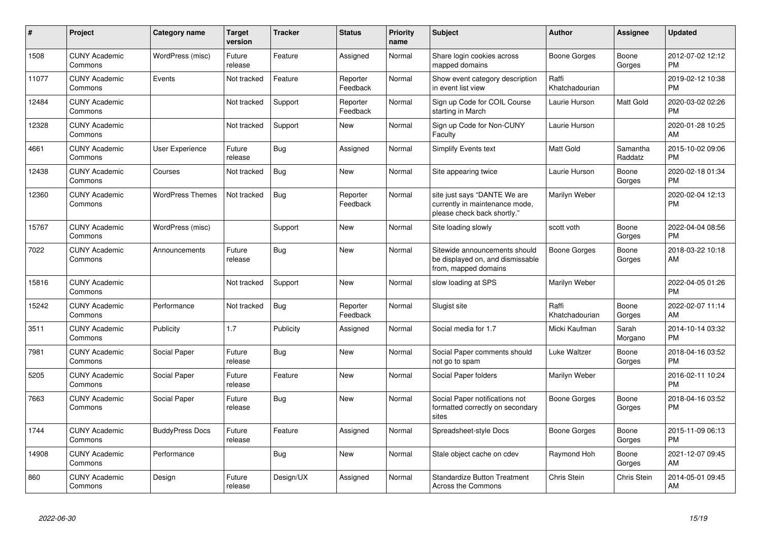| #     | Project                         | Category name           | <b>Target</b><br>version | <b>Tracker</b> | <b>Status</b>        | <b>Priority</b><br>name | <b>Subject</b>                                                                                | <b>Author</b>           | <b>Assignee</b>     | <b>Updated</b>                |
|-------|---------------------------------|-------------------------|--------------------------|----------------|----------------------|-------------------------|-----------------------------------------------------------------------------------------------|-------------------------|---------------------|-------------------------------|
| 1508  | <b>CUNY Academic</b><br>Commons | WordPress (misc)        | Future<br>release        | Feature        | Assigned             | Normal                  | Share login cookies across<br>mapped domains                                                  | Boone Gorges            | Boone<br>Gorges     | 2012-07-02 12:12<br><b>PM</b> |
| 11077 | <b>CUNY Academic</b><br>Commons | Events                  | Not tracked              | Feature        | Reporter<br>Feedback | Normal                  | Show event category description<br>in event list view                                         | Raffi<br>Khatchadourian |                     | 2019-02-12 10:38<br><b>PM</b> |
| 12484 | <b>CUNY Academic</b><br>Commons |                         | Not tracked              | Support        | Reporter<br>Feedback | Normal                  | Sign up Code for COIL Course<br>starting in March                                             | Laurie Hurson           | Matt Gold           | 2020-03-02 02:26<br><b>PM</b> |
| 12328 | <b>CUNY Academic</b><br>Commons |                         | Not tracked              | Support        | <b>New</b>           | Normal                  | Sign up Code for Non-CUNY<br>Faculty                                                          | Laurie Hurson           |                     | 2020-01-28 10:25<br>AM        |
| 4661  | <b>CUNY Academic</b><br>Commons | User Experience         | Future<br>release        | Bug            | Assigned             | Normal                  | <b>Simplify Events text</b>                                                                   | <b>Matt Gold</b>        | Samantha<br>Raddatz | 2015-10-02 09:06<br><b>PM</b> |
| 12438 | <b>CUNY Academic</b><br>Commons | Courses                 | Not tracked              | Bug            | <b>New</b>           | Normal                  | Site appearing twice                                                                          | Laurie Hurson           | Boone<br>Gorges     | 2020-02-18 01:34<br><b>PM</b> |
| 12360 | <b>CUNY Academic</b><br>Commons | <b>WordPress Themes</b> | Not tracked              | Bug            | Reporter<br>Feedback | Normal                  | site just says "DANTE We are<br>currently in maintenance mode,<br>please check back shortly." | Marilyn Weber           |                     | 2020-02-04 12:13<br><b>PM</b> |
| 15767 | <b>CUNY Academic</b><br>Commons | WordPress (misc)        |                          | Support        | <b>New</b>           | Normal                  | Site loading slowly                                                                           | scott voth              | Boone<br>Gorges     | 2022-04-04 08:56<br><b>PM</b> |
| 7022  | <b>CUNY Academic</b><br>Commons | Announcements           | Future<br>release        | Bug            | <b>New</b>           | Normal                  | Sitewide announcements should<br>be displayed on, and dismissable<br>from, mapped domains     | Boone Gorges            | Boone<br>Gorges     | 2018-03-22 10:18<br>AM        |
| 15816 | <b>CUNY Academic</b><br>Commons |                         | Not tracked              | Support        | <b>New</b>           | Normal                  | slow loading at SPS                                                                           | Marilyn Weber           |                     | 2022-04-05 01:26<br><b>PM</b> |
| 15242 | <b>CUNY Academic</b><br>Commons | Performance             | Not tracked              | Bug            | Reporter<br>Feedback | Normal                  | Slugist site                                                                                  | Raffi<br>Khatchadourian | Boone<br>Gorges     | 2022-02-07 11:14<br>AM        |
| 3511  | <b>CUNY Academic</b><br>Commons | Publicity               | 1.7                      | Publicity      | Assigned             | Normal                  | Social media for 1.7                                                                          | Micki Kaufman           | Sarah<br>Morgano    | 2014-10-14 03:32<br><b>PM</b> |
| 7981  | <b>CUNY Academic</b><br>Commons | Social Paper            | Future<br>release        | <b>Bug</b>     | <b>New</b>           | Normal                  | Social Paper comments should<br>not go to spam                                                | Luke Waltzer            | Boone<br>Gorges     | 2018-04-16 03:52<br><b>PM</b> |
| 5205  | <b>CUNY Academic</b><br>Commons | Social Paper            | Future<br>release        | Feature        | <b>New</b>           | Normal                  | Social Paper folders                                                                          | Marilyn Weber           |                     | 2016-02-11 10:24<br><b>PM</b> |
| 7663  | <b>CUNY Academic</b><br>Commons | Social Paper            | Future<br>release        | Bug            | New                  | Normal                  | Social Paper notifications not<br>formatted correctly on secondary<br>sites                   | Boone Gorges            | Boone<br>Gorges     | 2018-04-16 03:52<br><b>PM</b> |
| 1744  | <b>CUNY Academic</b><br>Commons | <b>BuddyPress Docs</b>  | Future<br>release        | Feature        | Assigned             | Normal                  | Spreadsheet-style Docs                                                                        | <b>Boone Gorges</b>     | Boone<br>Gorges     | 2015-11-09 06:13<br><b>PM</b> |
| 14908 | <b>CUNY Academic</b><br>Commons | Performance             |                          | <b>Bug</b>     | <b>New</b>           | Normal                  | Stale object cache on cdev                                                                    | Raymond Hoh             | Boone<br>Gorges     | 2021-12-07 09:45<br>AM        |
| 860   | <b>CUNY Academic</b><br>Commons | Design                  | Future<br>release        | Design/UX      | Assigned             | Normal                  | <b>Standardize Button Treatment</b><br>Across the Commons                                     | Chris Stein             | Chris Stein         | 2014-05-01 09:45<br>AM        |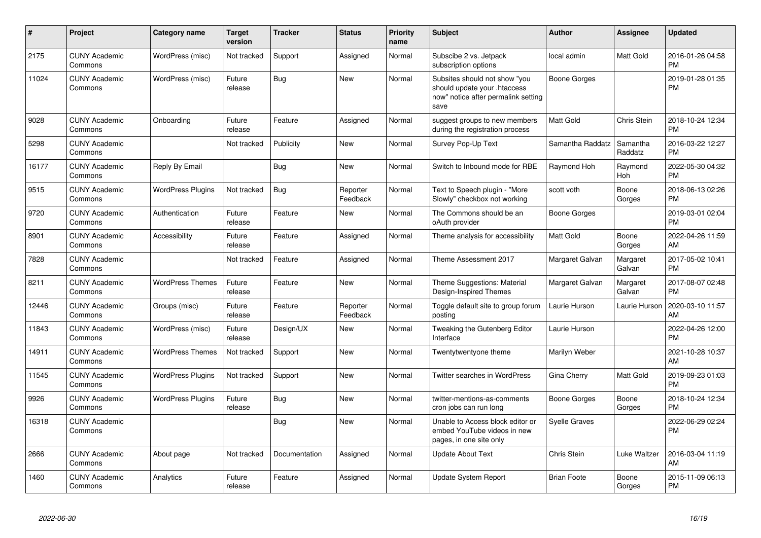| #     | Project                         | Category name            | <b>Target</b><br>version | <b>Tracker</b> | <b>Status</b>        | <b>Priority</b><br>name | <b>Subject</b>                                                                                               | <b>Author</b>        | <b>Assignee</b>     | <b>Updated</b>                |
|-------|---------------------------------|--------------------------|--------------------------|----------------|----------------------|-------------------------|--------------------------------------------------------------------------------------------------------------|----------------------|---------------------|-------------------------------|
| 2175  | <b>CUNY Academic</b><br>Commons | WordPress (misc)         | Not tracked              | Support        | Assigned             | Normal                  | Subscibe 2 vs. Jetpack<br>subscription options                                                               | local admin          | Matt Gold           | 2016-01-26 04:58<br><b>PM</b> |
| 11024 | <b>CUNY Academic</b><br>Commons | WordPress (misc)         | Future<br>release        | Bug            | <b>New</b>           | Normal                  | Subsites should not show "you<br>should update your .htaccess<br>now" notice after permalink setting<br>save | Boone Gorges         |                     | 2019-01-28 01:35<br><b>PM</b> |
| 9028  | <b>CUNY Academic</b><br>Commons | Onboarding               | Future<br>release        | Feature        | Assigned             | Normal                  | suggest groups to new members<br>during the registration process                                             | <b>Matt Gold</b>     | Chris Stein         | 2018-10-24 12:34<br><b>PM</b> |
| 5298  | <b>CUNY Academic</b><br>Commons |                          | Not tracked              | Publicity      | <b>New</b>           | Normal                  | Survey Pop-Up Text                                                                                           | Samantha Raddatz     | Samantha<br>Raddatz | 2016-03-22 12:27<br><b>PM</b> |
| 16177 | <b>CUNY Academic</b><br>Commons | Reply By Email           |                          | <b>Bug</b>     | <b>New</b>           | Normal                  | Switch to Inbound mode for RBE                                                                               | Raymond Hoh          | Raymond<br>Hoh      | 2022-05-30 04:32<br><b>PM</b> |
| 9515  | <b>CUNY Academic</b><br>Commons | <b>WordPress Plugins</b> | Not tracked              | <b>Bug</b>     | Reporter<br>Feedback | Normal                  | Text to Speech plugin - "More<br>Slowly" checkbox not working                                                | scott voth           | Boone<br>Gorges     | 2018-06-13 02:26<br><b>PM</b> |
| 9720  | <b>CUNY Academic</b><br>Commons | Authentication           | Future<br>release        | Feature        | <b>New</b>           | Normal                  | The Commons should be an<br>oAuth provider                                                                   | <b>Boone Gorges</b>  |                     | 2019-03-01 02:04<br><b>PM</b> |
| 8901  | <b>CUNY Academic</b><br>Commons | Accessibility            | Future<br>release        | Feature        | Assigned             | Normal                  | Theme analysis for accessibility                                                                             | <b>Matt Gold</b>     | Boone<br>Gorges     | 2022-04-26 11:59<br>AM        |
| 7828  | <b>CUNY Academic</b><br>Commons |                          | Not tracked              | Feature        | Assigned             | Normal                  | Theme Assessment 2017                                                                                        | Margaret Galvan      | Margaret<br>Galvan  | 2017-05-02 10:41<br><b>PM</b> |
| 8211  | <b>CUNY Academic</b><br>Commons | <b>WordPress Themes</b>  | Future<br>release        | Feature        | <b>New</b>           | Normal                  | Theme Suggestions: Material<br>Design-Inspired Themes                                                        | Margaret Galvan      | Margaret<br>Galvan  | 2017-08-07 02:48<br><b>PM</b> |
| 12446 | <b>CUNY Academic</b><br>Commons | Groups (misc)            | Future<br>release        | Feature        | Reporter<br>Feedback | Normal                  | Toggle default site to group forum<br>posting                                                                | Laurie Hurson        | Laurie Hurson       | 2020-03-10 11:57<br>AM        |
| 11843 | <b>CUNY Academic</b><br>Commons | WordPress (misc)         | Future<br>release        | Design/UX      | <b>New</b>           | Normal                  | Tweaking the Gutenberg Editor<br>Interface                                                                   | Laurie Hurson        |                     | 2022-04-26 12:00<br><b>PM</b> |
| 14911 | <b>CUNY Academic</b><br>Commons | <b>WordPress Themes</b>  | Not tracked              | Support        | <b>New</b>           | Normal                  | Twentytwentyone theme                                                                                        | Marilyn Weber        |                     | 2021-10-28 10:37<br>AM        |
| 11545 | <b>CUNY Academic</b><br>Commons | <b>WordPress Plugins</b> | Not tracked              | Support        | <b>New</b>           | Normal                  | Twitter searches in WordPress                                                                                | Gina Cherry          | Matt Gold           | 2019-09-23 01:03<br><b>PM</b> |
| 9926  | <b>CUNY Academic</b><br>Commons | <b>WordPress Plugins</b> | Future<br>release        | Bug            | New                  | Normal                  | twitter-mentions-as-comments<br>cron jobs can run long                                                       | Boone Gorges         | Boone<br>Gorges     | 2018-10-24 12:34<br><b>PM</b> |
| 16318 | <b>CUNY Academic</b><br>Commons |                          |                          | Bug            | New                  | Normal                  | Unable to Access block editor or<br>embed YouTube videos in new<br>pages, in one site only                   | <b>Syelle Graves</b> |                     | 2022-06-29 02:24<br><b>PM</b> |
| 2666  | <b>CUNY Academic</b><br>Commons | About page               | Not tracked              | Documentation  | Assigned             | Normal                  | <b>Update About Text</b>                                                                                     | Chris Stein          | Luke Waltzer        | 2016-03-04 11:19<br>AM        |
| 1460  | <b>CUNY Academic</b><br>Commons | Analytics                | Future<br>release        | Feature        | Assigned             | Normal                  | <b>Update System Report</b>                                                                                  | <b>Brian Foote</b>   | Boone<br>Gorges     | 2015-11-09 06:13<br><b>PM</b> |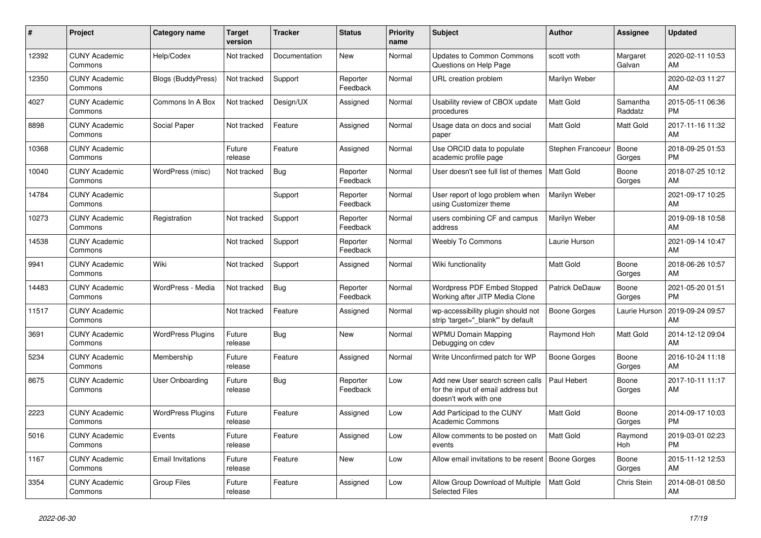| #     | Project                         | <b>Category name</b>      | <b>Target</b><br>version | <b>Tracker</b> | <b>Status</b>        | Priority<br>name | <b>Subject</b>                                                                                  | <b>Author</b>     | Assignee            | <b>Updated</b>                |
|-------|---------------------------------|---------------------------|--------------------------|----------------|----------------------|------------------|-------------------------------------------------------------------------------------------------|-------------------|---------------------|-------------------------------|
| 12392 | <b>CUNY Academic</b><br>Commons | Help/Codex                | Not tracked              | Documentation  | New                  | Normal           | <b>Updates to Common Commons</b><br>Questions on Help Page                                      | scott voth        | Margaret<br>Galvan  | 2020-02-11 10:53<br>AM        |
| 12350 | <b>CUNY Academic</b><br>Commons | <b>Blogs (BuddyPress)</b> | Not tracked              | Support        | Reporter<br>Feedback | Normal           | URL creation problem                                                                            | Marilyn Weber     |                     | 2020-02-03 11:27<br>AM        |
| 4027  | <b>CUNY Academic</b><br>Commons | Commons In A Box          | Not tracked              | Design/UX      | Assigned             | Normal           | Usability review of CBOX update<br>procedures                                                   | Matt Gold         | Samantha<br>Raddatz | 2015-05-11 06:36<br><b>PM</b> |
| 8898  | <b>CUNY Academic</b><br>Commons | Social Paper              | Not tracked              | Feature        | Assigned             | Normal           | Usage data on docs and social<br>paper                                                          | Matt Gold         | Matt Gold           | 2017-11-16 11:32<br>AM        |
| 10368 | <b>CUNY Academic</b><br>Commons |                           | Future<br>release        | Feature        | Assigned             | Normal           | Use ORCID data to populate<br>academic profile page                                             | Stephen Francoeur | Boone<br>Gorges     | 2018-09-25 01:53<br><b>PM</b> |
| 10040 | <b>CUNY Academic</b><br>Commons | WordPress (misc)          | Not tracked              | Bug            | Reporter<br>Feedback | Normal           | User doesn't see full list of themes                                                            | <b>Matt Gold</b>  | Boone<br>Gorges     | 2018-07-25 10:12<br>AM        |
| 14784 | <b>CUNY Academic</b><br>Commons |                           |                          | Support        | Reporter<br>Feedback | Normal           | User report of logo problem when<br>using Customizer theme                                      | Marilyn Weber     |                     | 2021-09-17 10:25<br>AM        |
| 10273 | <b>CUNY Academic</b><br>Commons | Registration              | Not tracked              | Support        | Reporter<br>Feedback | Normal           | users combining CF and campus<br>address                                                        | Marilyn Weber     |                     | 2019-09-18 10:58<br>AM        |
| 14538 | <b>CUNY Academic</b><br>Commons |                           | Not tracked              | Support        | Reporter<br>Feedback | Normal           | <b>Weebly To Commons</b>                                                                        | Laurie Hurson     |                     | 2021-09-14 10:47<br>AM        |
| 9941  | <b>CUNY Academic</b><br>Commons | Wiki                      | Not tracked              | Support        | Assigned             | Normal           | Wiki functionality                                                                              | <b>Matt Gold</b>  | Boone<br>Gorges     | 2018-06-26 10:57<br>AM        |
| 14483 | <b>CUNY Academic</b><br>Commons | WordPress - Media         | Not tracked              | Bug            | Reporter<br>Feedback | Normal           | <b>Wordpress PDF Embed Stopped</b><br>Working after JITP Media Clone                            | Patrick DeDauw    | Boone<br>Gorges     | 2021-05-20 01:51<br><b>PM</b> |
| 11517 | <b>CUNY Academic</b><br>Commons |                           | Not tracked              | Feature        | Assigned             | Normal           | wp-accessibility plugin should not<br>strip 'target="_blank"' by default                        | Boone Gorges      | Laurie Hurson       | 2019-09-24 09:57<br>AM        |
| 3691  | <b>CUNY Academic</b><br>Commons | <b>WordPress Plugins</b>  | Future<br>release        | Bug            | New                  | Normal           | <b>WPMU Domain Mapping</b><br>Debugging on cdev                                                 | Raymond Hoh       | Matt Gold           | 2014-12-12 09:04<br>AM        |
| 5234  | <b>CUNY Academic</b><br>Commons | Membership                | Future<br>release        | Feature        | Assigned             | Normal           | Write Unconfirmed patch for WP                                                                  | Boone Gorges      | Boone<br>Gorges     | 2016-10-24 11:18<br>AM        |
| 8675  | <b>CUNY Academic</b><br>Commons | User Onboarding           | Future<br>release        | Bug            | Reporter<br>Feedback | Low              | Add new User search screen calls<br>for the input of email address but<br>doesn't work with one | Paul Hebert       | Boone<br>Gorges     | 2017-10-11 11:17<br>AM        |
| 2223  | <b>CUNY Academic</b><br>Commons | <b>WordPress Plugins</b>  | Future<br>release        | Feature        | Assigned             | Low              | Add Participad to the CUNY<br><b>Academic Commons</b>                                           | <b>Matt Gold</b>  | Boone<br>Gorges     | 2014-09-17 10:03<br><b>PM</b> |
| 5016  | <b>CUNY Academic</b><br>Commons | Events                    | Future<br>release        | Feature        | Assigned             | Low              | Allow comments to be posted on<br>events                                                        | <b>Matt Gold</b>  | Raymond<br>Hoh      | 2019-03-01 02:23<br><b>PM</b> |
| 1167  | <b>CUNY Academic</b><br>Commons | <b>Email Invitations</b>  | Future<br>release        | Feature        | New                  | Low              | Allow email invitations to be resent                                                            | Boone Gorges      | Boone<br>Gorges     | 2015-11-12 12:53<br>AM        |
| 3354  | <b>CUNY Academic</b><br>Commons | Group Files               | Future<br>release        | Feature        | Assigned             | Low              | Allow Group Download of Multiple<br><b>Selected Files</b>                                       | Matt Gold         | Chris Stein         | 2014-08-01 08:50<br>AM        |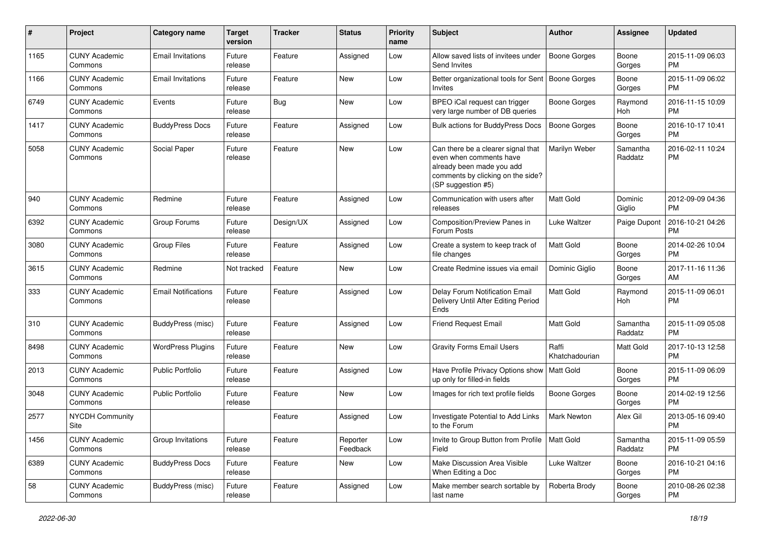| $\#$ | Project                         | <b>Category name</b>       | <b>Target</b><br>version | <b>Tracker</b> | <b>Status</b>        | <b>Priority</b><br>name | <b>Subject</b>                                                                                                                                        | Author                  | <b>Assignee</b>     | <b>Updated</b>                |
|------|---------------------------------|----------------------------|--------------------------|----------------|----------------------|-------------------------|-------------------------------------------------------------------------------------------------------------------------------------------------------|-------------------------|---------------------|-------------------------------|
| 1165 | <b>CUNY Academic</b><br>Commons | <b>Email Invitations</b>   | Future<br>release        | Feature        | Assigned             | Low                     | Allow saved lists of invitees under<br>Send Invites                                                                                                   | <b>Boone Gorges</b>     | Boone<br>Gorges     | 2015-11-09 06:03<br><b>PM</b> |
| 1166 | <b>CUNY Academic</b><br>Commons | <b>Email Invitations</b>   | Future<br>release        | Feature        | New                  | Low                     | Better organizational tools for Sent   Boone Gorges<br><b>Invites</b>                                                                                 |                         | Boone<br>Gorges     | 2015-11-09 06:02<br><b>PM</b> |
| 6749 | <b>CUNY Academic</b><br>Commons | Events                     | Future<br>release        | Bug            | <b>New</b>           | Low                     | BPEO iCal request can trigger<br>very large number of DB queries                                                                                      | Boone Gorges            | Raymond<br>Hoh      | 2016-11-15 10:09<br><b>PM</b> |
| 1417 | <b>CUNY Academic</b><br>Commons | <b>BuddyPress Docs</b>     | Future<br>release        | Feature        | Assigned             | Low                     | <b>Bulk actions for BuddyPress Docs</b>                                                                                                               | <b>Boone Gorges</b>     | Boone<br>Gorges     | 2016-10-17 10:41<br><b>PM</b> |
| 5058 | <b>CUNY Academic</b><br>Commons | Social Paper               | Future<br>release        | Feature        | <b>New</b>           | Low                     | Can there be a clearer signal that<br>even when comments have<br>already been made you add<br>comments by clicking on the side?<br>(SP suggestion #5) | Marilyn Weber           | Samantha<br>Raddatz | 2016-02-11 10:24<br><b>PM</b> |
| 940  | <b>CUNY Academic</b><br>Commons | Redmine                    | Future<br>release        | Feature        | Assigned             | Low                     | Communication with users after<br>releases                                                                                                            | <b>Matt Gold</b>        | Dominic<br>Giglio   | 2012-09-09 04:36<br><b>PM</b> |
| 6392 | <b>CUNY Academic</b><br>Commons | Group Forums               | Future<br>release        | Design/UX      | Assigned             | Low                     | Composition/Preview Panes in<br>Forum Posts                                                                                                           | Luke Waltzer            | Paige Dupont        | 2016-10-21 04:26<br><b>PM</b> |
| 3080 | <b>CUNY Academic</b><br>Commons | <b>Group Files</b>         | Future<br>release        | Feature        | Assigned             | Low                     | Create a system to keep track of<br>file changes                                                                                                      | Matt Gold               | Boone<br>Gorges     | 2014-02-26 10:04<br><b>PM</b> |
| 3615 | <b>CUNY Academic</b><br>Commons | Redmine                    | Not tracked              | Feature        | New                  | Low                     | Create Redmine issues via email                                                                                                                       | Dominic Giglio          | Boone<br>Gorges     | 2017-11-16 11:36<br>AM        |
| 333  | <b>CUNY Academic</b><br>Commons | <b>Email Notifications</b> | Future<br>release        | Feature        | Assigned             | Low                     | Delay Forum Notification Email<br>Delivery Until After Editing Period<br>Ends                                                                         | Matt Gold               | Raymond<br>Hoh      | 2015-11-09 06:01<br><b>PM</b> |
| 310  | <b>CUNY Academic</b><br>Commons | BuddyPress (misc)          | Future<br>release        | Feature        | Assigned             | Low                     | <b>Friend Request Email</b>                                                                                                                           | <b>Matt Gold</b>        | Samantha<br>Raddatz | 2015-11-09 05:08<br><b>PM</b> |
| 8498 | <b>CUNY Academic</b><br>Commons | <b>WordPress Plugins</b>   | Future<br>release        | Feature        | <b>New</b>           | Low                     | <b>Gravity Forms Email Users</b>                                                                                                                      | Raffi<br>Khatchadourian | Matt Gold           | 2017-10-13 12:58<br><b>PM</b> |
| 2013 | <b>CUNY Academic</b><br>Commons | Public Portfolio           | Future<br>release        | Feature        | Assigned             | Low                     | Have Profile Privacy Options show   Matt Gold<br>up only for filled-in fields                                                                         |                         | Boone<br>Gorges     | 2015-11-09 06:09<br><b>PM</b> |
| 3048 | <b>CUNY Academic</b><br>Commons | <b>Public Portfolio</b>    | Future<br>release        | Feature        | New                  | Low                     | Images for rich text profile fields                                                                                                                   | <b>Boone Gorges</b>     | Boone<br>Gorges     | 2014-02-19 12:56<br><b>PM</b> |
| 2577 | <b>NYCDH Community</b><br>Site  |                            |                          | Feature        | Assigned             | Low                     | Investigate Potential to Add Links<br>to the Forum                                                                                                    | Mark Newton             | Alex Gil            | 2013-05-16 09:40<br><b>PM</b> |
| 1456 | <b>CUNY Academic</b><br>Commons | Group Invitations          | Future<br>release        | Feature        | Reporter<br>Feedback | Low                     | Invite to Group Button from Profile<br>Field                                                                                                          | Matt Gold               | Samantha<br>Raddatz | 2015-11-09 05:59<br><b>PM</b> |
| 6389 | <b>CUNY Academic</b><br>Commons | <b>BuddyPress Docs</b>     | Future<br>release        | Feature        | New                  | Low                     | Make Discussion Area Visible<br>When Editing a Doc                                                                                                    | Luke Waltzer            | Boone<br>Gorges     | 2016-10-21 04:16<br><b>PM</b> |
| 58   | <b>CUNY Academic</b><br>Commons | BuddyPress (misc)          | Future<br>release        | Feature        | Assigned             | Low                     | Make member search sortable by<br>last name                                                                                                           | Roberta Brody           | Boone<br>Gorges     | 2010-08-26 02:38<br><b>PM</b> |